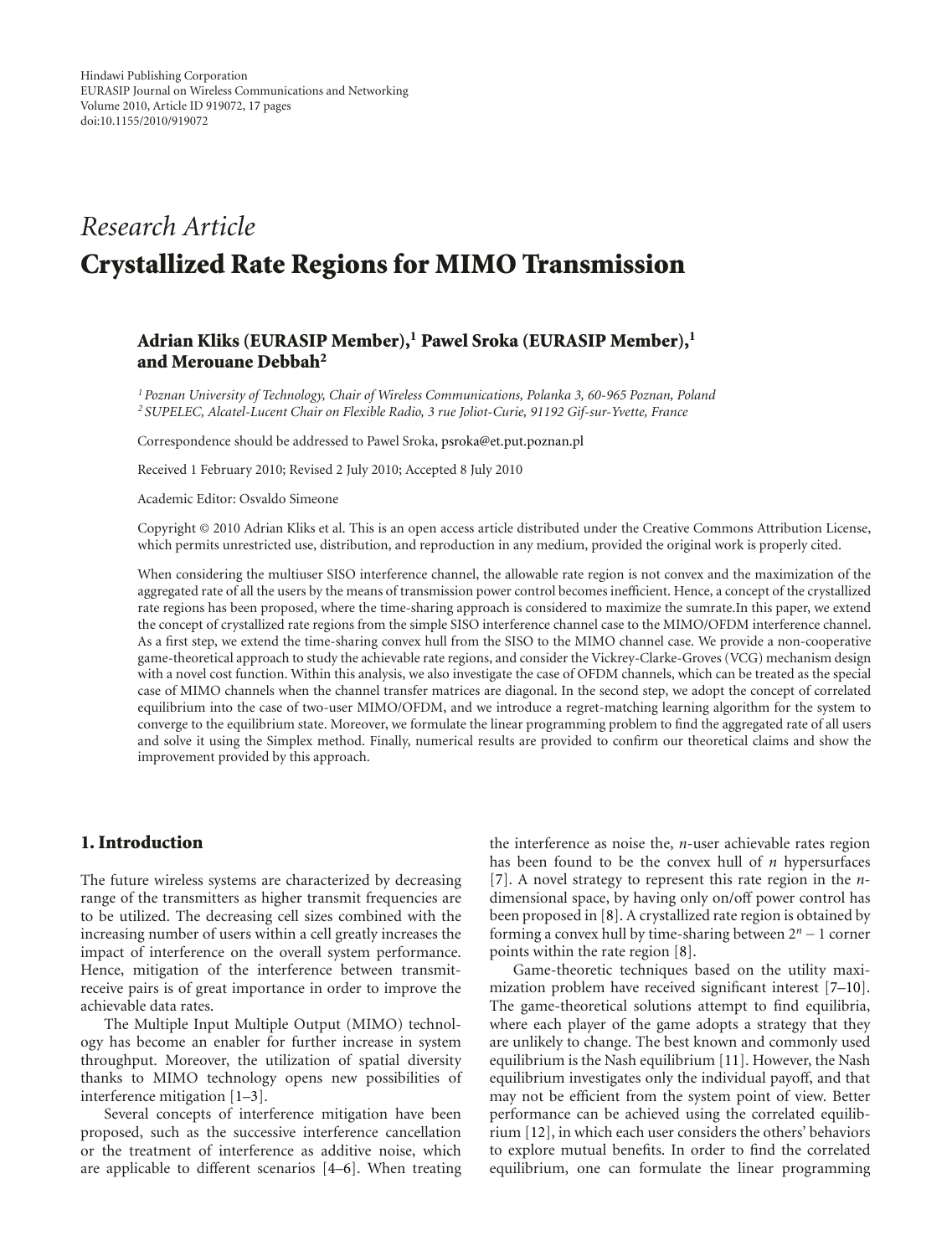# *Research Article* **Crystallized Rate Regions for MIMO Transmission**

# **Adrian Kliks (EURASIP Member),1 Pawel Sroka (EURASIP Member),1 and Merouane Debbah2**

*1Poznan University of Technology, Chair of Wireless Communications, Polanka 3, 60-965 Poznan, Poland <sup>2</sup> SUPELEC, Alcatel-Lucent Chair on Flexible Radio, 3 rue Joliot-Curie, 91192 Gif-sur-Yvette, France*

Correspondence should be addressed to Pawel Sroka, psroka@et.put.poznan.pl

Received 1 February 2010; Revised 2 July 2010; Accepted 8 July 2010

Academic Editor: Osvaldo Simeone

Copyright © 2010 Adrian Kliks et al. This is an open access article distributed under the Creative Commons Attribution License, which permits unrestricted use, distribution, and reproduction in any medium, provided the original work is properly cited.

When considering the multiuser SISO interference channel, the allowable rate region is not convex and the maximization of the aggregated rate of all the users by the means of transmission power control becomes inefficient. Hence, a concept of the crystallized rate regions has been proposed, where the time-sharing approach is considered to maximize the sumrate.In this paper, we extend the concept of crystallized rate regions from the simple SISO interference channel case to the MIMO/OFDM interference channel. As a first step, we extend the time-sharing convex hull from the SISO to the MIMO channel case. We provide a non-cooperative game-theoretical approach to study the achievable rate regions, and consider the Vickrey-Clarke-Groves (VCG) mechanism design with a novel cost function. Within this analysis, we also investigate the case of OFDM channels, which can be treated as the special case of MIMO channels when the channel transfer matrices are diagonal. In the second step, we adopt the concept of correlated equilibrium into the case of two-user MIMO/OFDM, and we introduce a regret-matching learning algorithm for the system to converge to the equilibrium state. Moreover, we formulate the linear programming problem to find the aggregated rate of all users and solve it using the Simplex method. Finally, numerical results are provided to confirm our theoretical claims and show the improvement provided by this approach.

### **1. Introduction**

The future wireless systems are characterized by decreasing range of the transmitters as higher transmit frequencies are to be utilized. The decreasing cell sizes combined with the increasing number of users within a cell greatly increases the impact of interference on the overall system performance. Hence, mitigation of the interference between transmitreceive pairs is of great importance in order to improve the achievable data rates.

The Multiple Input Multiple Output (MIMO) technology has become an enabler for further increase in system throughput. Moreover, the utilization of spatial diversity thanks to MIMO technology opens new possibilities of interference mitigation [1–3].

Several concepts of interference mitigation have been proposed, such as the successive interference cancellation or the treatment of interference as additive noise, which are applicable to different scenarios [4–6]. When treating the interference as noise the, *n*-user achievable rates region has been found to be the convex hull of *n* hypersurfaces [7]. A novel strategy to represent this rate region in the *n*dimensional space, by having only on/off power control has been proposed in [8]. A crystallized rate region is obtained by forming a convex hull by time-sharing between 2*<sup>n</sup>* <sup>−</sup>1 corner points within the rate region [8].

Game-theoretic techniques based on the utility maximization problem have received significant interest [7–10]. The game-theoretical solutions attempt to find equilibria, where each player of the game adopts a strategy that they are unlikely to change. The best known and commonly used equilibrium is the Nash equilibrium [11]. However, the Nash equilibrium investigates only the individual payoff, and that may not be efficient from the system point of view. Better performance can be achieved using the correlated equilibrium [12], in which each user considers the others' behaviors to explore mutual benefits. In order to find the correlated equilibrium, one can formulate the linear programming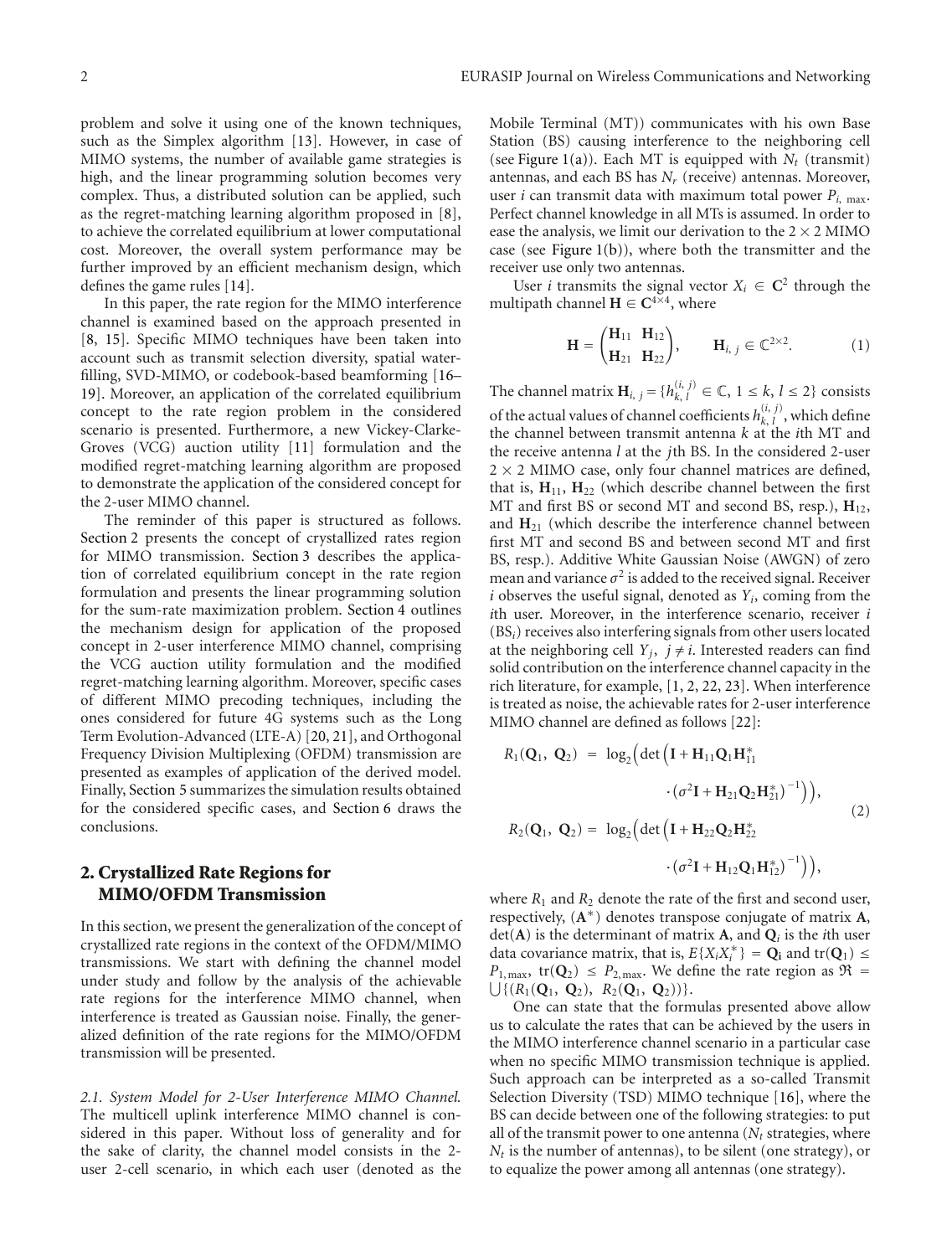problem and solve it using one of the known techniques, such as the Simplex algorithm [13]. However, in case of MIMO systems, the number of available game strategies is high, and the linear programming solution becomes very complex. Thus, a distributed solution can be applied, such as the regret-matching learning algorithm proposed in [8], to achieve the correlated equilibrium at lower computational cost. Moreover, the overall system performance may be further improved by an efficient mechanism design, which defines the game rules [14].

In this paper, the rate region for the MIMO interference channel is examined based on the approach presented in [8, 15]. Specific MIMO techniques have been taken into account such as transmit selection diversity, spatial waterfilling, SVD-MIMO, or codebook-based beamforming [16– 19]. Moreover, an application of the correlated equilibrium concept to the rate region problem in the considered scenario is presented. Furthermore, a new Vickey-Clarke-Groves (VCG) auction utility [11] formulation and the modified regret-matching learning algorithm are proposed to demonstrate the application of the considered concept for the 2-user MIMO channel.

The reminder of this paper is structured as follows. Section 2 presents the concept of crystallized rates region for MIMO transmission. Section 3 describes the application of correlated equilibrium concept in the rate region formulation and presents the linear programming solution for the sum-rate maximization problem. Section 4 outlines the mechanism design for application of the proposed concept in 2-user interference MIMO channel, comprising the VCG auction utility formulation and the modified regret-matching learning algorithm. Moreover, specific cases of different MIMO precoding techniques, including the ones considered for future 4G systems such as the Long Term Evolution-Advanced (LTE-A) [20, 21], and Orthogonal Frequency Division Multiplexing (OFDM) transmission are presented as examples of application of the derived model. Finally, Section 5 summarizes the simulation results obtained for the considered specific cases, and Section 6 draws the conclusions.

# **2. Crystallized Rate Regions for MIMO/OFDM Transmission**

In this section, we present the generalization of the concept of crystallized rate regions in the context of the OFDM/MIMO transmissions. We start with defining the channel model under study and follow by the analysis of the achievable rate regions for the interference MIMO channel, when interference is treated as Gaussian noise. Finally, the generalized definition of the rate regions for the MIMO/OFDM transmission will be presented.

*2.1. System Model for 2-User Interference MIMO Channel.* The multicell uplink interference MIMO channel is considered in this paper. Without loss of generality and for the sake of clarity, the channel model consists in the 2 user 2-cell scenario, in which each user (denoted as the Mobile Terminal (MT)) communicates with his own Base Station (BS) causing interference to the neighboring cell (see Figure 1(a)). Each MT is equipped with  $N_t$  (transmit) antennas, and each BS has *Nr* (receive) antennas. Moreover, user *i* can transmit data with maximum total power  $P_{i, max}$ . Perfect channel knowledge in all MTs is assumed. In order to ease the analysis, we limit our derivation to the  $2 \times 2$  MIMO case (see Figure  $1(b)$ ), where both the transmitter and the receiver use only two antennas.

User *i* transmits the signal vector  $X_i \in \mathbb{C}^2$  through the multipath channel  $H \in C^{4\times4}$ , where

$$
\mathbf{H} = \begin{pmatrix} \mathbf{H}_{11} & \mathbf{H}_{12} \\ \mathbf{H}_{21} & \mathbf{H}_{22} \end{pmatrix}, \qquad \mathbf{H}_{i, j} \in \mathbb{C}^{2 \times 2}.
$$
 (1)

The channel matrix  $\mathbf{H}_{i, j} = \{h_{k, l}^{(i, j)} \in \mathbb{C}, 1 \leq k, l \leq 2\}$  consists of the actual values of channel coefficients  $h_{k, l}^{(i, j)}$ , which define the channel between transmit antenna *k* at the *i*th MT and the receive antenna *l* at the *j*th BS. In the considered 2-user  $2 \times 2$  MIMO case, only four channel matrices are defined, that is,  $H_{11}$ ,  $H_{22}$  (which describe channel between the first MT and first BS or second MT and second BS, resp.), **H**12, and  $H_{21}$  (which describe the interference channel between first MT and second BS and between second MT and first BS, resp.). Additive White Gaussian Noise (AWGN) of zero mean and variance  $\sigma^2$  is added to the received signal. Receiver *i* observes the useful signal, denoted as *Yi*, coming from the *i*th user. Moreover, in the interference scenario, receiver *i* (BS*i*) receives also interfering signals from other users located at the neighboring cell  $Y_i$ ,  $j \neq i$ . Interested readers can find solid contribution on the interference channel capacity in the rich literature, for example, [1, 2, 22, 23]. When interference is treated as noise, the achievable rates for 2-user interference MIMO channel are defined as follows [22]:

$$
R_1(\mathbf{Q}_1, \ \mathbf{Q}_2) = \log_2 \left( \det \left( \mathbf{I} + \mathbf{H}_{11} \mathbf{Q}_1 \mathbf{H}_{11}^* \right) \right. \\ \left. \qquad \qquad \cdot \left( \sigma^2 \mathbf{I} + \mathbf{H}_{21} \mathbf{Q}_2 \mathbf{H}_{21}^* \right)^{-1} \right) \right), \\ R_2(\mathbf{Q}_1, \ \mathbf{Q}_2) = \log_2 \left( \det \left( \mathbf{I} + \mathbf{H}_{22} \mathbf{Q}_2 \mathbf{H}_{22}^* \right) \right. \\ \left. \qquad \qquad \cdot \left( \sigma^2 \mathbf{I} + \mathbf{H}_{12} \mathbf{Q}_1 \mathbf{H}_{12}^* \right)^{-1} \right) \right), \tag{2}
$$

where  $R_1$  and  $R_2$  denote the rate of the first and second user, respectively, (**A**∗) denotes transpose conjugate of matrix **A**,  $det(A)$  is the determinant of matrix **A**, and  $Q_i$  is the *i*th user data covariance matrix, that is,  $E\{X_iX_i^*\} = \mathbf{Q}_i$  and tr( $\mathbf{Q}_1$ )  $\leq$  $P_{1, \text{max}}$ , tr(**Q**<sub>2</sub>)  $\leq$   $P_{2, \text{max}}$ . We define the rate region as  $\mathfrak{R} = \bigcup \{ (R_1(\mathbf{Q}_1, \mathbf{Q}_2), R_2(\mathbf{Q}_1, \mathbf{Q}_2)) \}.$ 

One can state that the formulas presented above allow us to calculate the rates that can be achieved by the users in the MIMO interference channel scenario in a particular case when no specific MIMO transmission technique is applied. Such approach can be interpreted as a so-called Transmit Selection Diversity (TSD) MIMO technique [16], where the BS can decide between one of the following strategies: to put all of the transmit power to one antenna  $(N_t)$  strategies, where *N<sub>t</sub>* is the number of antennas), to be silent (one strategy), or to equalize the power among all antennas (one strategy).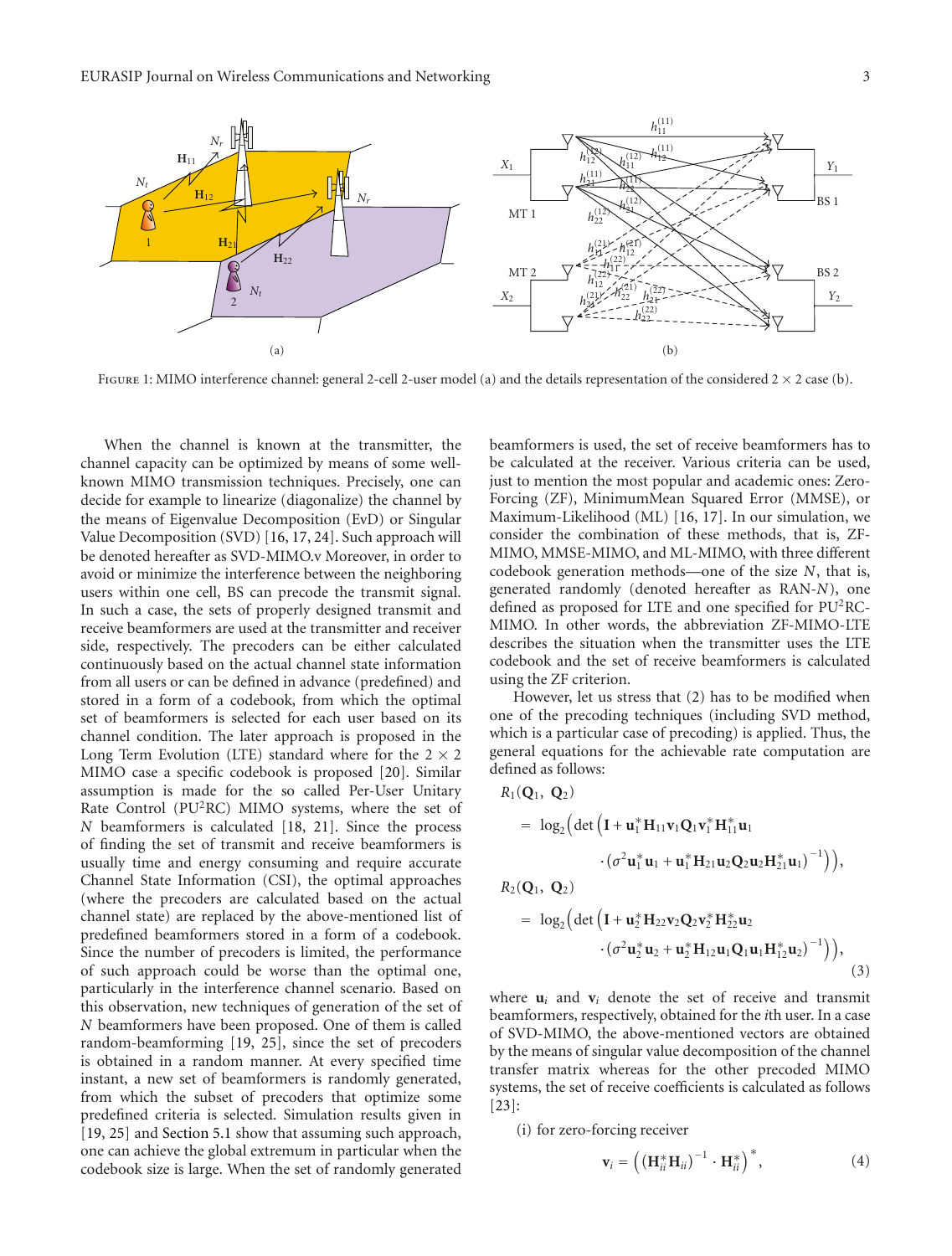

FIGURE 1: MIMO interference channel: general 2-cell 2-user model (a) and the details representation of the considered  $2 \times 2$  case (b).

When the channel is known at the transmitter, the channel capacity can be optimized by means of some wellknown MIMO transmission techniques. Precisely, one can decide for example to linearize (diagonalize) the channel by the means of Eigenvalue Decomposition (EvD) or Singular Value Decomposition (SVD) [16, 17, 24]. Such approach will be denoted hereafter as SVD-MIMO.v Moreover, in order to avoid or minimize the interference between the neighboring users within one cell, BS can precode the transmit signal. In such a case, the sets of properly designed transmit and receive beamformers are used at the transmitter and receiver side, respectively. The precoders can be either calculated continuously based on the actual channel state information from all users or can be defined in advance (predefined) and stored in a form of a codebook, from which the optimal set of beamformers is selected for each user based on its channel condition. The later approach is proposed in the Long Term Evolution (LTE) standard where for the  $2 \times 2$ MIMO case a specific codebook is proposed [20]. Similar assumption is made for the so called Per-User Unitary Rate Control (PU<sup>2</sup>RC) MIMO systems, where the set of *N* beamformers is calculated [18, 21]. Since the process of finding the set of transmit and receive beamformers is usually time and energy consuming and require accurate Channel State Information (CSI), the optimal approaches (where the precoders are calculated based on the actual channel state) are replaced by the above-mentioned list of predefined beamformers stored in a form of a codebook. Since the number of precoders is limited, the performance of such approach could be worse than the optimal one, particularly in the interference channel scenario. Based on this observation, new techniques of generation of the set of *N* beamformers have been proposed. One of them is called random-beamforming [19, 25], since the set of precoders is obtained in a random manner. At every specified time instant, a new set of beamformers is randomly generated, from which the subset of precoders that optimize some predefined criteria is selected. Simulation results given in [19, 25] and Section 5.1 show that assuming such approach, one can achieve the global extremum in particular when the codebook size is large. When the set of randomly generated

beamformers is used, the set of receive beamformers has to be calculated at the receiver. Various criteria can be used, just to mention the most popular and academic ones: Zero-Forcing (ZF), MinimumMean Squared Error (MMSE), or Maximum-Likelihood (ML) [16, 17]. In our simulation, we consider the combination of these methods, that is, ZF-MIMO, MMSE-MIMO, and ML-MIMO, with three different codebook generation methods—one of the size *N*, that is, generated randomly (denoted hereafter as RAN-*N*), one defined as proposed for LTE and one specified for PU<sup>2</sup>RC-MIMO. In other words, the abbreviation ZF-MIMO-LTE describes the situation when the transmitter uses the LTE codebook and the set of receive beamformers is calculated using the ZF criterion.

However, let us stress that (2) has to be modified when one of the precoding techniques (including SVD method, which is a particular case of precoding) is applied. Thus, the general equations for the achievable rate computation are defined as follows:

$$
R_1(Q_1, Q_2)
$$
\n
$$
= \log_2 \Big( \det \Big( \mathbf{I} + \mathbf{u}_1^* \mathbf{H}_{11} \mathbf{v}_1 Q_1 \mathbf{v}_1^* \mathbf{H}_{11}^* \mathbf{u}_1
$$
\n
$$
\cdot (\sigma^2 \mathbf{u}_1^* \mathbf{u}_1 + \mathbf{u}_1^* \mathbf{H}_{21} \mathbf{u}_2 Q_2 \mathbf{u}_2 \mathbf{H}_{21}^* \mathbf{u}_1)^{-1} \Big) \Big),
$$
\n
$$
R_2(Q_1, Q_2)
$$
\n
$$
= \log_2 \Big( \det \Big( \mathbf{I} + \mathbf{u}_2^* \mathbf{H}_{22} \mathbf{v}_2 Q_2 \mathbf{v}_2^* \mathbf{H}_{22}^* \mathbf{u}_2
$$
\n
$$
\cdot (\sigma^2 \mathbf{u}_2^* \mathbf{u}_2 + \mathbf{u}_2^* \mathbf{H}_{12} \mathbf{u}_1 Q_1 \mathbf{u}_1 \mathbf{H}_{12}^* \mathbf{u}_2)^{-1} \Big) \Big),
$$
\n(3)

where  $\mathbf{u}_i$  and  $\mathbf{v}_i$  denote the set of receive and transmit beamformers, respectively, obtained for the *i*th user. In a case of SVD-MIMO, the above-mentioned vectors are obtained by the means of singular value decomposition of the channel transfer matrix whereas for the other precoded MIMO systems, the set of receive coefficients is calculated as follows [23]:

(i) for zero-forcing receiver

 $P_1(\Omega_1, \Omega_2)$ 

$$
\mathbf{v}_i = \left( \left( \mathbf{H}_{ii}^* \mathbf{H}_{ii} \right)^{-1} \cdot \mathbf{H}_{ii}^* \right)^*,\tag{4}
$$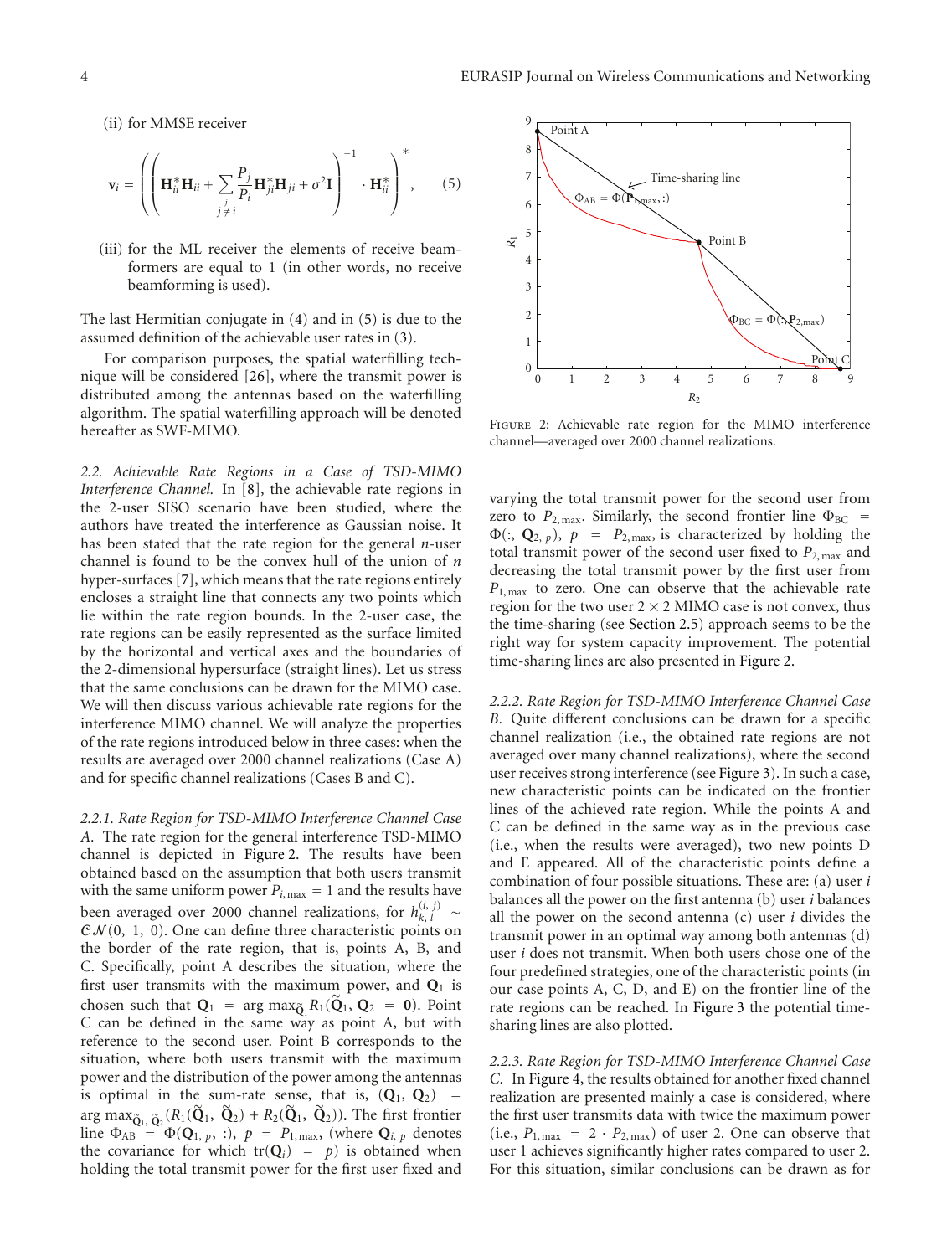(ii) for MMSE receiver

$$
\mathbf{v}_{i} = \left( \left( \mathbf{H}_{ii}^{*} \mathbf{H}_{ii} + \sum_{\substack{j \\ j \neq i}} \frac{P_{j}}{P_{i}} \mathbf{H}_{ji}^{*} \mathbf{H}_{ji} + \sigma^{2} \mathbf{I} \right)^{-1} \cdot \mathbf{H}_{ii}^{*} \right)^{*}, \qquad (5)
$$

(iii) for the ML receiver the elements of receive beamformers are equal to 1 (in other words, no receive beamforming is used).

The last Hermitian conjugate in (4) and in (5) is due to the assumed definition of the achievable user rates in (3).

For comparison purposes, the spatial waterfilling technique will be considered [26], where the transmit power is distributed among the antennas based on the waterfilling algorithm. The spatial waterfilling approach will be denoted hereafter as SWF-MIMO.

*2.2. Achievable Rate Regions in a Case of TSD-MIMO Interference Channel.* In [8], the achievable rate regions in the 2-user SISO scenario have been studied, where the authors have treated the interference as Gaussian noise. It has been stated that the rate region for the general *n*-user channel is found to be the convex hull of the union of *n* hyper-surfaces [7], which means that the rate regions entirely encloses a straight line that connects any two points which lie within the rate region bounds. In the 2-user case, the rate regions can be easily represented as the surface limited by the horizontal and vertical axes and the boundaries of the 2-dimensional hypersurface (straight lines). Let us stress that the same conclusions can be drawn for the MIMO case. We will then discuss various achievable rate regions for the interference MIMO channel. We will analyze the properties of the rate regions introduced below in three cases: when the results are averaged over 2000 channel realizations (Case A) and for specific channel realizations (Cases B and C).

*2.2.1. Rate Region for TSD-MIMO Interference Channel Case A.* The rate region for the general interference TSD-MIMO channel is depicted in Figure 2. The results have been obtained based on the assumption that both users transmit with the same uniform power  $P_{i, \text{max}} = 1$  and the results have been averaged over 2000 channel realizations, for  $h_{k, l}^{(i, j)} \sim$  $C\mathcal{N}(0, 1, 0)$ . One can define three characteristic points on the border of the rate region, that is, points A, B, and C. Specifically, point A describes the situation, where the first user transmits with the maximum power, and **Q**<sup>1</sup> is chosen such that  $\mathbf{Q}_1 = \arg \max_{\mathbf{Q}_1} R_1(\mathbf{Q}_1, \mathbf{Q}_2 = \mathbf{0})$ . Point C can be defined in the same way as point A, but with reference to the second user. Point B corresponds to the situation, where both users transmit with the maximum power and the distribution of the power among the antennas is optimal in the sum-rate sense, that is,  $(Q_1, Q_2)$  = arg max $\tilde{\mathbf{Q}}_1$ ,  $\tilde{\mathbf{Q}}_2$  ( $R_1(\tilde{\mathbf{Q}}_1, \tilde{\mathbf{Q}}_2)$  +  $R_2(\tilde{\mathbf{Q}}_1, \tilde{\mathbf{Q}}_2)$ ). The first frontier line  $\Phi_{AB} = \Phi(\mathbf{Q}_1, p, :)$ ,  $p = P_{1, \text{max}}$ , (where  $\mathbf{Q}_{i, p}$  denotes the covariance for which  $tr(Q_i) = p$  is obtained when holding the total transmit power for the first user fixed and



Figure 2: Achievable rate region for the MIMO interference channel—averaged over 2000 channel realizations.

varying the total transmit power for the second user from zero to  $P_{2,\text{max}}$ . Similarly, the second frontier line  $\Phi_{BC}$  =  $\Phi$ (:,  $\mathbf{Q}_{2, p}$ ),  $p = P_{2, max}$ , is characterized by holding the total transmit power of the second user fixed to *P*2, max and decreasing the total transmit power by the first user from *P*<sub>1, max</sub> to zero. One can observe that the achievable rate region for the two user  $2 \times 2$  MIMO case is not convex, thus the time-sharing (see Section 2.5) approach seems to be the right way for system capacity improvement. The potential time-sharing lines are also presented in Figure 2.

*2.2.2. Rate Region for TSD-MIMO Interference Channel Case B.* Quite different conclusions can be drawn for a specific channel realization (i.e., the obtained rate regions are not averaged over many channel realizations), where the second user receives strong interference (see Figure 3). In such a case, new characteristic points can be indicated on the frontier lines of the achieved rate region. While the points A and C can be defined in the same way as in the previous case (i.e., when the results were averaged), two new points D and E appeared. All of the characteristic points define a combination of four possible situations. These are: (a) user *i* balances all the power on the first antenna (b) user *i* balances all the power on the second antenna (c) user *i* divides the transmit power in an optimal way among both antennas (d) user *i* does not transmit. When both users chose one of the four predefined strategies, one of the characteristic points (in our case points A, C, D, and E) on the frontier line of the rate regions can be reached. In Figure 3 the potential timesharing lines are also plotted.

*2.2.3. Rate Region for TSD-MIMO Interference Channel Case C.* In Figure 4, the results obtained for another fixed channel realization are presented mainly a case is considered, where the first user transmits data with twice the maximum power (i.e.,  $P_{1,\text{max}} = 2 \cdot P_{2,\text{max}}$ ) of user 2. One can observe that user 1 achieves significantly higher rates compared to user 2. For this situation, similar conclusions can be drawn as for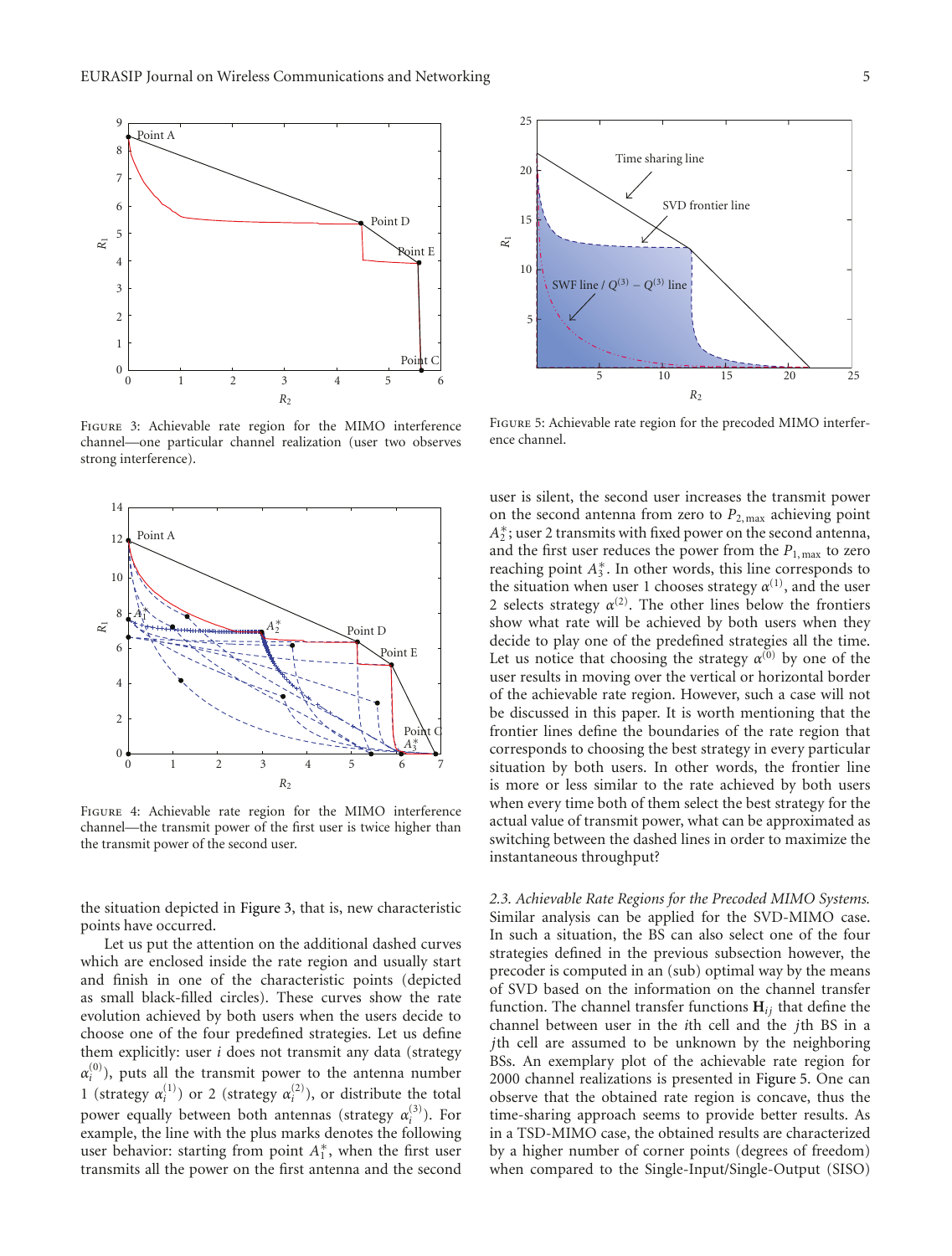

Figure 3: Achievable rate region for the MIMO interference channel—one particular channel realization (user two observes strong interference).



Figure 4: Achievable rate region for the MIMO interference channel—the transmit power of the first user is twice higher than the transmit power of the second user.

the situation depicted in Figure 3, that is, new characteristic points have occurred.

Let us put the attention on the additional dashed curves which are enclosed inside the rate region and usually start and finish in one of the characteristic points (depicted as small black-filled circles). These curves show the rate evolution achieved by both users when the users decide to choose one of the four predefined strategies. Let us define them explicitly: user *i* does not transmit any data (strategy  $\alpha_i^{(0)}$ ), puts all the transmit power to the antenna number 1 (strategy  $\alpha_i^{(1)}$ ) or 2 (strategy  $\alpha_i^{(2)}$ ), or distribute the total power equally between both antennas (strategy  $\alpha_i^{(3)}$ ). For example, the line with the plus marks denotes the following user behavior: starting from point  $A_1^*$ , when the first user transmits all the power on the first antenna and the second



Figure 5: Achievable rate region for the precoded MIMO interference channel.

user is silent, the second user increases the transmit power on the second antenna from zero to *P*2, max achieving point  $A_2^*$ ; user 2 transmits with fixed power on the second antenna, and the first user reduces the power from the  $P_{1,\text{max}}$  to zero reaching point *A*<sup>∗</sup> <sup>3</sup> . In other words, this line corresponds to the situation when user 1 chooses strategy  $\alpha^{(1)}$ , and the user 2 selects strategy  $\alpha^{(2)}$ . The other lines below the frontiers show what rate will be achieved by both users when they decide to play one of the predefined strategies all the time. Let us notice that choosing the strategy  $\alpha^{(0)}$  by one of the user results in moving over the vertical or horizontal border of the achievable rate region. However, such a case will not be discussed in this paper. It is worth mentioning that the frontier lines define the boundaries of the rate region that corresponds to choosing the best strategy in every particular situation by both users. In other words, the frontier line is more or less similar to the rate achieved by both users when every time both of them select the best strategy for the actual value of transmit power, what can be approximated as switching between the dashed lines in order to maximize the instantaneous throughput?

*2.3. Achievable Rate Regions for the Precoded MIMO Systems.* Similar analysis can be applied for the SVD-MIMO case. In such a situation, the BS can also select one of the four strategies defined in the previous subsection however, the precoder is computed in an (sub) optimal way by the means of SVD based on the information on the channel transfer function. The channel transfer functions **H***ij* that define the channel between user in the *i*th cell and the *j*th BS in a *j*th cell are assumed to be unknown by the neighboring BSs. An exemplary plot of the achievable rate region for 2000 channel realizations is presented in Figure 5. One can observe that the obtained rate region is concave, thus the time-sharing approach seems to provide better results. As in a TSD-MIMO case, the obtained results are characterized by a higher number of corner points (degrees of freedom) when compared to the Single-Input/Single-Output (SISO)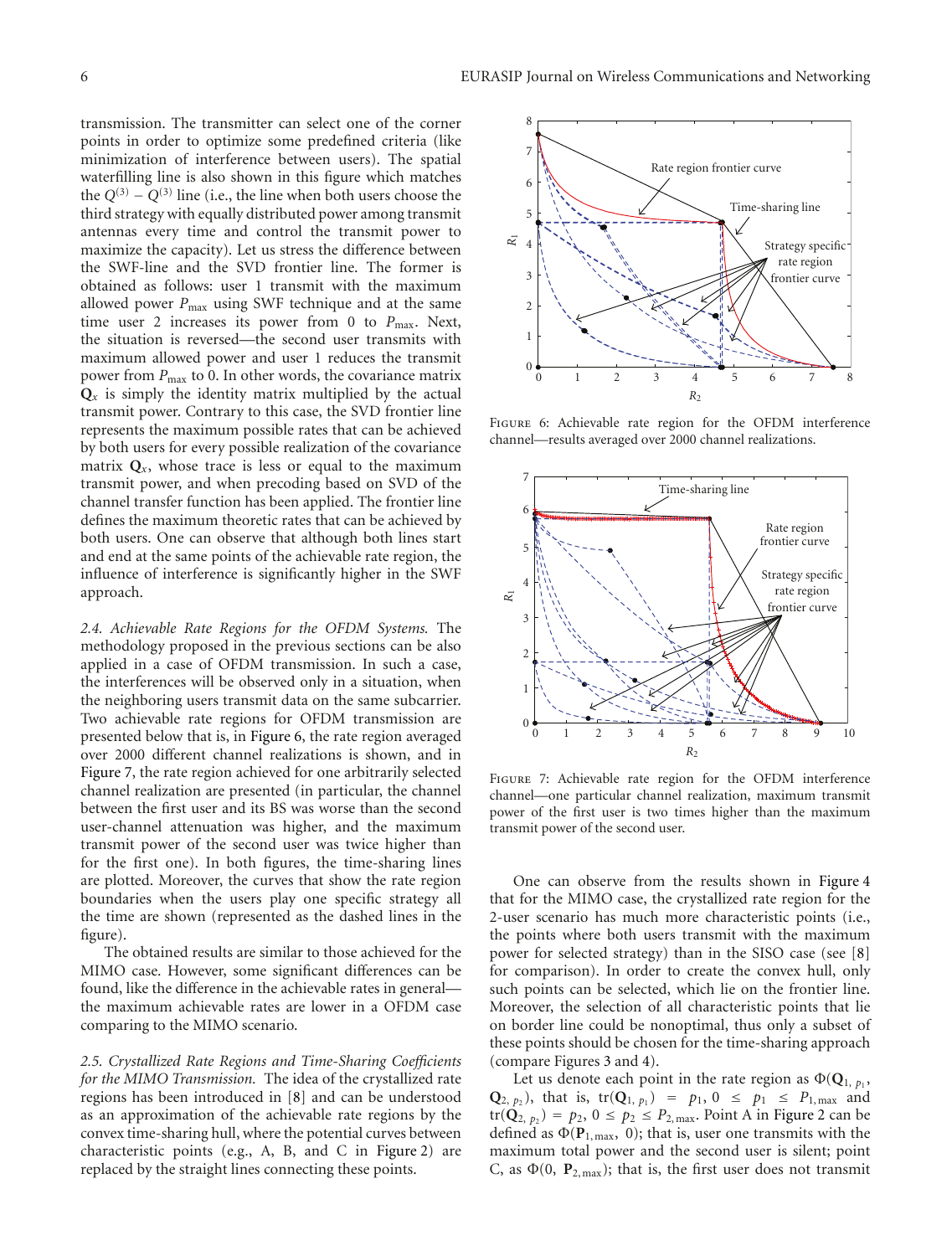transmission. The transmitter can select one of the corner points in order to optimize some predefined criteria (like minimization of interference between users). The spatial waterfilling line is also shown in this figure which matches the  $Q^{(3)} - Q^{(3)}$  line (i.e., the line when both users choose the third strategy with equally distributed power among transmit antennas every time and control the transmit power to maximize the capacity). Let us stress the difference between the SWF-line and the SVD frontier line. The former is obtained as follows: user 1 transmit with the maximum allowed power  $P_{\text{max}}$  using SWF technique and at the same time user 2 increases its power from 0 to P<sub>max</sub>. Next, the situation is reversed—the second user transmits with maximum allowed power and user 1 reduces the transmit power from *P*<sub>max</sub> to 0. In other words, the covariance matrix  $Q_x$  is simply the identity matrix multiplied by the actual transmit power. Contrary to this case, the SVD frontier line represents the maximum possible rates that can be achieved by both users for every possible realization of the covariance matrix  $Q_x$ , whose trace is less or equal to the maximum transmit power, and when precoding based on SVD of the channel transfer function has been applied. The frontier line defines the maximum theoretic rates that can be achieved by both users. One can observe that although both lines start and end at the same points of the achievable rate region, the influence of interference is significantly higher in the SWF approach.

*2.4. Achievable Rate Regions for the OFDM Systems.* The methodology proposed in the previous sections can be also applied in a case of OFDM transmission. In such a case, the interferences will be observed only in a situation, when the neighboring users transmit data on the same subcarrier. Two achievable rate regions for OFDM transmission are presented below that is, in Figure 6, the rate region averaged over 2000 different channel realizations is shown, and in Figure 7, the rate region achieved for one arbitrarily selected channel realization are presented (in particular, the channel between the first user and its BS was worse than the second user-channel attenuation was higher, and the maximum transmit power of the second user was twice higher than for the first one). In both figures, the time-sharing lines are plotted. Moreover, the curves that show the rate region boundaries when the users play one specific strategy all the time are shown (represented as the dashed lines in the figure).

The obtained results are similar to those achieved for the MIMO case. However, some significant differences can be found, like the difference in the achievable rates in general the maximum achievable rates are lower in a OFDM case comparing to the MIMO scenario.

*2.5. Crystallized Rate Regions and Time-Sharing Coefficients for the MIMO Transmission.* The idea of the crystallized rate regions has been introduced in [8] and can be understood as an approximation of the achievable rate regions by the convex time-sharing hull, where the potential curves between characteristic points (e.g., A, B, and C in Figure 2) are replaced by the straight lines connecting these points.



Figure 6: Achievable rate region for the OFDM interference channel—results averaged over 2000 channel realizations.



Figure 7: Achievable rate region for the OFDM interference channel—one particular channel realization, maximum transmit power of the first user is two times higher than the maximum transmit power of the second user.

One can observe from the results shown in Figure 4 that for the MIMO case, the crystallized rate region for the 2-user scenario has much more characteristic points (i.e., the points where both users transmit with the maximum power for selected strategy) than in the SISO case (see [8] for comparison). In order to create the convex hull, only such points can be selected, which lie on the frontier line. Moreover, the selection of all characteristic points that lie on border line could be nonoptimal, thus only a subset of these points should be chosen for the time-sharing approach (compare Figures 3 and 4).

Let us denote each point in the rate region as  $\Phi(\mathbf{Q}_1, p_1)$ , **Q**<sub>2, *p*<sub>2</sub></sub>), that is, tr(**Q**<sub>1, *p*<sub>1</sub></sub>) = *p*<sub>1</sub>, 0  $\leq$  *p*<sub>1</sub>  $\leq$  *P*<sub>1, max</sub> and  $tr(Q_{2, p_{2}}) = p_{2}, 0 \le p_{2} \le P_{2, max}$ . Point A in Figure 2 can be defined as  $\Phi(\mathbf{P}_{1,\text{max}}, 0)$ ; that is, user one transmits with the maximum total power and the second user is silent; point C, as  $\Phi(0, P_{2, \text{max}})$ ; that is, the first user does not transmit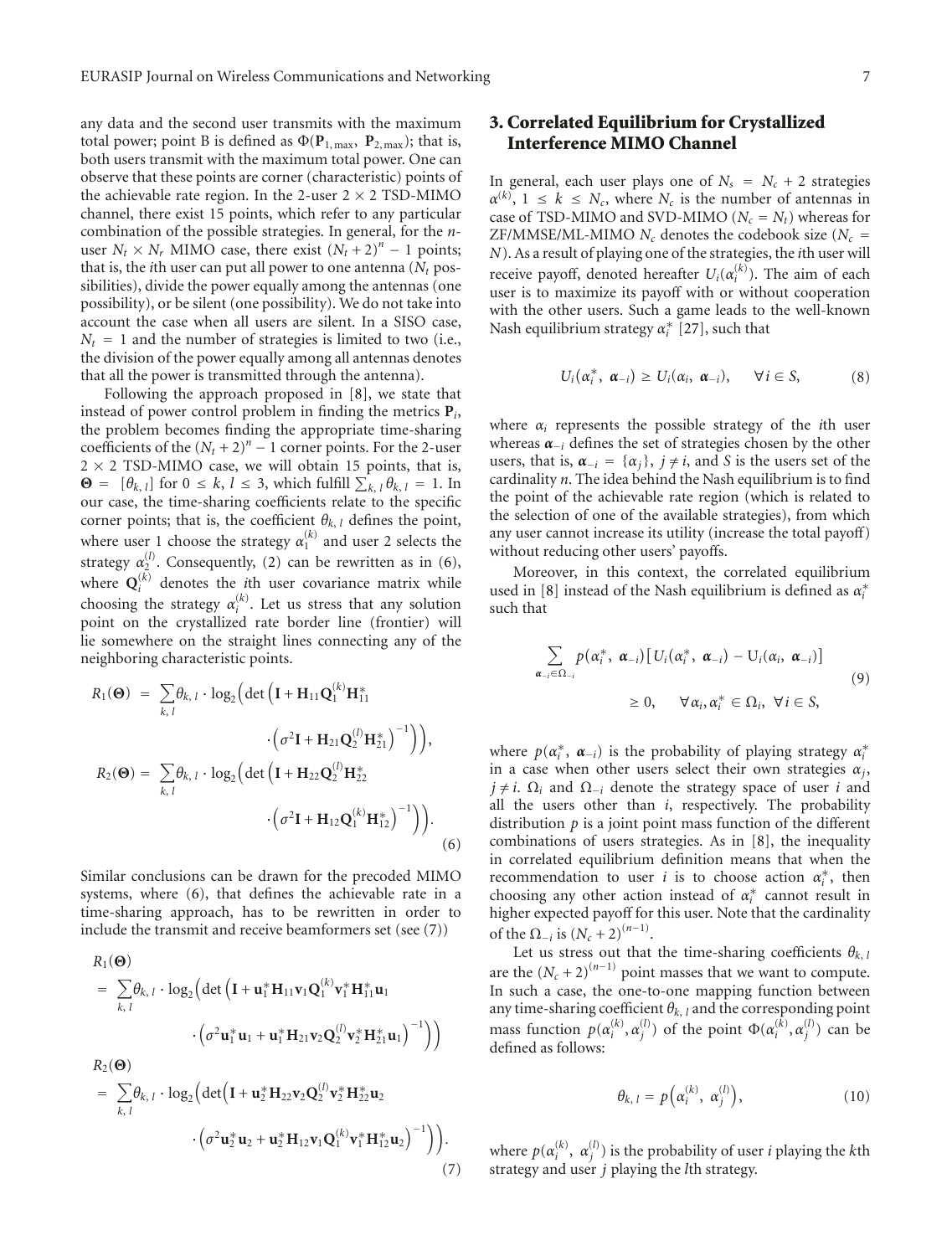any data and the second user transmits with the maximum total power; point B is defined as  $\Phi(\mathbf{P}_{1,\text{max}}, \mathbf{P}_{2,\text{max}})$ ; that is, both users transmit with the maximum total power. One can observe that these points are corner (characteristic) points of the achievable rate region. In the 2-user  $2 \times 2$  TSD-MIMO channel, there exist 15 points, which refer to any particular combination of the possible strategies. In general, for the *n*user  $N_t \times N_r$  MIMO case, there exist  $(N_t + 2)^n - 1$  points; that is, the *i*th user can put all power to one antenna  $(N_t$  possibilities), divide the power equally among the antennas (one possibility), or be silent (one possibility). We do not take into account the case when all users are silent. In a SISO case,  $N_t = 1$  and the number of strategies is limited to two (i.e., the division of the power equally among all antennas denotes that all the power is transmitted through the antenna).

Following the approach proposed in [8], we state that instead of power control problem in finding the metrics **P***i*, the problem becomes finding the appropriate time-sharing coefficients of the  $(N_t + 2)^n - 1$  corner points. For the 2-user  $2 \times 2$  TSD-MIMO case, we will obtain 15 points, that is, **Θ** =  $[\theta_{k, l}]$  for  $0 \le k, l \le 3$ , which fulfill  $\sum_{k, l} \theta_{k, l} = 1$ . In our case, the time-sharing coefficients relate to the specific corner points; that is, the coefficient  $\theta_{k, l}$  defines the point, where user 1 choose the strategy  $\alpha_1^{(k)}$  and user 2 selects the strategy  $\alpha_2^{(l)}$ . Consequently, (2) can be rewritten as in (6), where  $\mathbf{Q}_i^{(k)}$  denotes the *i*th user covariance matrix while choosing the strategy  $\alpha_i^{(k)}$ . Let us stress that any solution point on the crystallized rate border line (frontier) will lie somewhere on the straight lines connecting any of the neighboring characteristic points.

$$
R_1(\mathbf{\Theta}) = \sum_{k, l} \theta_{k, l} \cdot \log_2 \left( \det \left( \mathbf{I} + \mathbf{H}_{11} \mathbf{Q}_1^{(k)} \mathbf{H}_{11}^* \right) \right. \\ \left. \left. \cdot \left( \sigma^2 \mathbf{I} + \mathbf{H}_{21} \mathbf{Q}_2^{(l)} \mathbf{H}_{21}^* \right)^{-1} \right) \right),
$$
\n
$$
R_2(\mathbf{\Theta}) = \sum_{k, l} \theta_{k, l} \cdot \log_2 \left( \det \left( \mathbf{I} + \mathbf{H}_{22} \mathbf{Q}_2^{(l)} \mathbf{H}_{22}^* \right) \right. \\ \left. \left. \cdot \left( \sigma^2 \mathbf{I} + \mathbf{H}_{12} \mathbf{Q}_1^{(k)} \mathbf{H}_{12}^* \right)^{-1} \right) \right). \tag{6}
$$

Similar conclusions can be drawn for the precoded MIMO systems, where (6), that defines the achievable rate in a time-sharing approach, has to be rewritten in order to include the transmit and receive beamformers set (see (7))

$$
R_{1}(\mathbf{\Theta})
$$
\n
$$
= \sum_{k, l} \theta_{k, l} \cdot \log_{2} \Big( \det \Big( \mathbf{I} + \mathbf{u}_{1}^{*} \mathbf{H}_{11} \mathbf{v}_{1} \mathbf{Q}_{1}^{(k)} \mathbf{v}_{1}^{*} \mathbf{H}_{11}^{*} \mathbf{u}_{1} + \int_{k, l}^{l} (\sigma^{2} \mathbf{u}_{1}^{*} \mathbf{u}_{1} + \mathbf{u}_{1}^{*} \mathbf{H}_{21} \mathbf{v}_{2} \mathbf{Q}_{2}^{(l)} \mathbf{v}_{2}^{*} \mathbf{H}_{21}^{*} \mathbf{u}_{1})^{-1} \Big) \Big)
$$
\n
$$
R_{2}(\mathbf{\Theta})
$$
\n
$$
= \sum_{k, l} \theta_{k, l} \cdot \log_{2} \Big( \det \Big( \mathbf{I} + \mathbf{u}_{2}^{*} \mathbf{H}_{22} \mathbf{v}_{2} \mathbf{Q}_{2}^{(l)} \mathbf{v}_{2}^{*} \mathbf{H}_{22}^{*} \mathbf{u}_{2} + \int_{l}^{l} (\sigma^{2} \mathbf{u}_{2}^{*} \mathbf{u}_{2} + \mathbf{u}_{2}^{*} \mathbf{H}_{12} \mathbf{v}_{1} \mathbf{Q}_{1}^{(k)} \mathbf{v}_{1}^{*} \mathbf{H}_{12}^{*} \mathbf{u}_{2})^{-1} \Big) \Big).
$$
\n
$$
(7)
$$

# **3. Correlated Equilibrium for Crystallized Interference MIMO Channel**

In general, each user plays one of  $N_s = N_c + 2$  strategies  $\alpha^{(k)}$ ,  $1 \leq k \leq N_c$ , where  $N_c$  is the number of antennas in case of TSD-MIMO and SVD-MIMO ( $N_c = N_t$ ) whereas for ZF/MMSE/ML-MIMO  $N_c$  denotes the codebook size ( $N_c$  = *N*). As a result of playing one of the strategies, the *i*th user will receive payoff, denoted hereafter  $U_i(\alpha_i^{(k)})$ . The aim of each user is to maximize its payoff with or without cooperation with the other users. Such a game leads to the well-known Nash equilibrium strategy  $\alpha_i^*$  [27], such that

$$
U_i(\alpha_i^*, \ \boldsymbol{\alpha}_{-i}) \geq U_i(\alpha_i, \ \boldsymbol{\alpha}_{-i}), \qquad \forall \, i \in S, \tag{8}
$$

where  $\alpha_i$  represents the possible strategy of the *i*th user whereas *<sup>α</sup>*−*<sup>i</sup>* defines the set of strategies chosen by the other users, that is,  $\alpha_{-i} = {\alpha_j}$ ,  $j \neq i$ , and *S* is the users set of the cardinality *n*. The idea behind the Nash equilibrium is to find the point of the achievable rate region (which is related to the selection of one of the available strategies), from which any user cannot increase its utility (increase the total payoff) without reducing other users' payoffs.

Moreover, in this context, the correlated equilibrium used in [8] instead of the Nash equilibrium is defined as  $\alpha_i^*$ such that

$$
\sum_{\alpha_{-i}\in\Omega_{-i}} p(\alpha_i^*, \ \alpha_{-i}) [U_i(\alpha_i^*, \ \alpha_{-i}) - U_i(\alpha_i, \ \alpha_{-i})]
$$
\n
$$
\geq 0, \quad \forall \alpha_i, \alpha_i^* \in \Omega_i, \ \forall i \in S,
$$
\n(9)

where  $p(\alpha_i^*, \alpha_{-i})$  is the probability of playing strategy  $\alpha_i^*$ in a case when other users select their own strategies  $\alpha_i$ ,  $j \neq i$ .  $\Omega_i$  and  $\Omega_{-i}$  denote the strategy space of user *i* and all the users other than *i*, respectively. The probability distribution *p* is a joint point mass function of the different combinations of users strategies. As in [8], the inequality in correlated equilibrium definition means that when the recommendation to user *i* is to choose action  $\alpha_i^*$ , then choosing any other action instead of  $\alpha_i^*$  cannot result in higher expected payoff for this user. Note that the cardinality of the Ω<sub>−*i*</sub> is  $(N<sub>c</sub> + 2)^{(n-1)}$ .

Let us stress out that the time-sharing coefficients  $\theta_{k, l}$ are the  $(N_c + 2)^{(n-1)}$  point masses that we want to compute. In such a case, the one-to-one mapping function between any time-sharing coefficient  $\theta_{k}$ , *l* and the corresponding point mass function  $p(\alpha_i^{(k)}, \alpha_j^{(l)})$  of the point  $\Phi(\alpha_i^{(k)}, \alpha_j^{(l)})$  can be defined as follows:

$$
\theta_{k, l} = p\left(\alpha_i^{(k)}, \alpha_j^{(l)}\right),\tag{10}
$$

where  $p(\alpha_i^{(k)}, \alpha_j^{(l)})$  is the probability of user *i* playing the *k*th strategy and user *j* playing the *l*th strategy.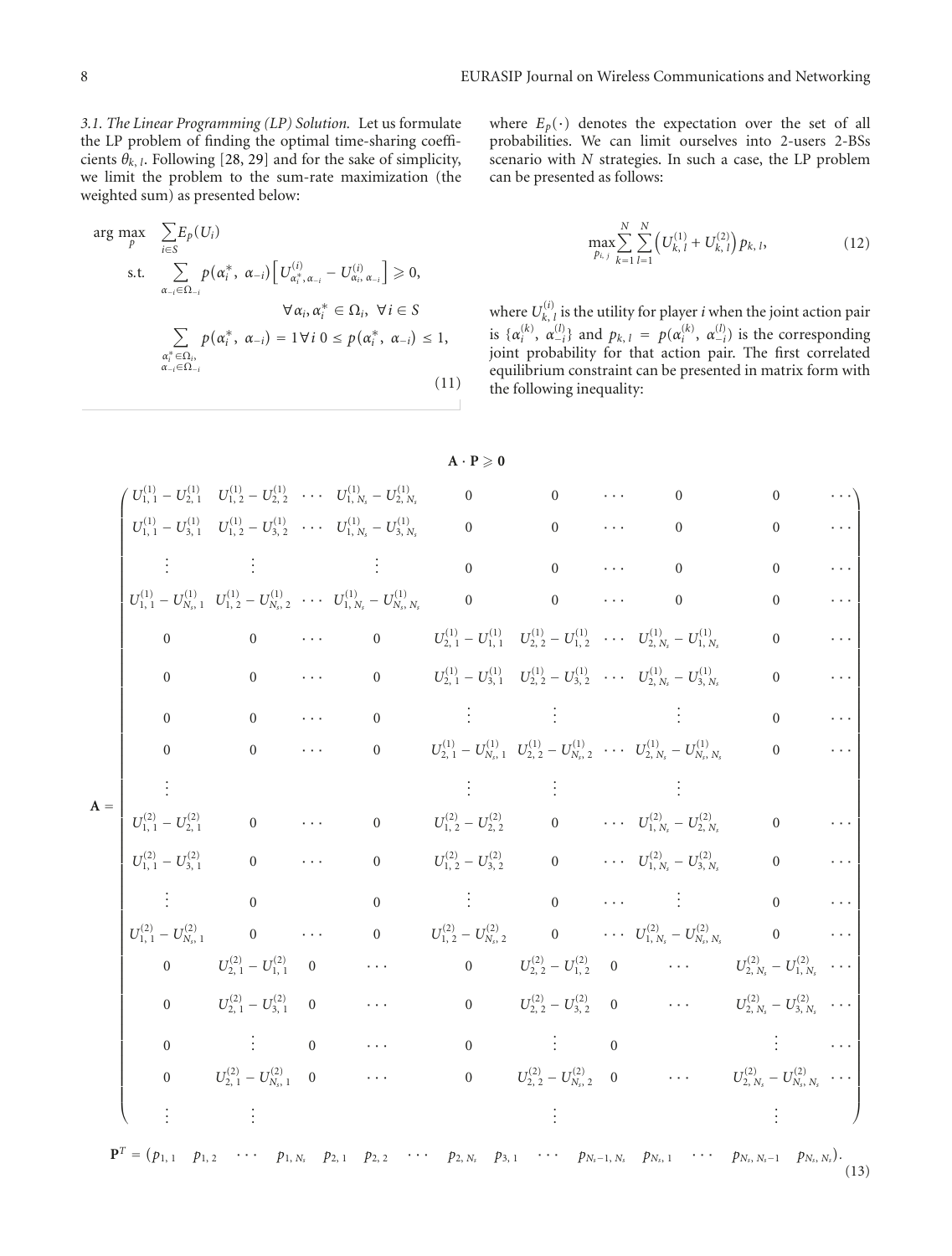*3.1. The Linear Programming (LP) Solution.* Let us formulate the LP problem of finding the optimal time-sharing coefficients  $\theta_{k}$ , *l*. Following [28, 29] and for the sake of simplicity, we limit the problem to the sum-rate maximization (the weighted sum) as presented below:

$$
\arg \max_{p} \sum_{i \in S} E_p(U_i)
$$
\n
$$
\text{s.t.} \sum_{\alpha_{-i} \in \Omega_{-i}} p(\alpha_i^*, \alpha_{-i}) \left[ U_{\alpha_i^*, \alpha_{-i}}^{(i)} - U_{\alpha_i, \alpha_{-i}}^{(i)} \right] \geq 0,
$$
\n
$$
\forall \alpha_i, \alpha_i^* \in \Omega_i, \ \forall i \in S
$$
\n
$$
\sum_{\substack{\alpha_i^* \in \Omega_i, \\ \alpha_{-i} \in \Omega_{-i}}} p(\alpha_i^*, \alpha_{-i}) = 1 \forall i \ 0 \leq p(\alpha_i^*, \alpha_{-i}) \leq 1,
$$
\n
$$
(11)
$$

where 
$$
E_p(\cdot)
$$
 denotes the expectation over the set of all  
probabilities. We can limit ourselves into 2-users 2-BSs  
scenario with *N* strategies. In such a case, the LP problem  
can be presented as follows:

$$
\max_{p_{i,j}} \sum_{k=1}^{N} \sum_{l=1}^{N} \left( U_{k,l}^{(1)} + U_{k,l}^{(2)} \right) p_{k,l}, \tag{12}
$$

where  $U_{k, l}^{(i)}$  is the utility for player *i* when the joint action pair is  $\{\alpha_i^{(k)}, \alpha_{-i}^{(l)}\}$  and  $p_{k, l} = p(\alpha_i^{(k)}, \alpha_{-i}^{(l)})$  is the corresponding joint probability for that action pair. The first correlated equilibrium constraint can be presented in matrix form with the following inequality:

|       |                                   |                                                |                                        |                                                                                                                                                                                                                                                                                                                                              | $A \cdot P \geqslant 0$                                                                                                    |                                                                                                                                                                                                                                                                                                                                                                                                                                                             |                        |                                                                                                                    |                  |  |
|-------|-----------------------------------|------------------------------------------------|----------------------------------------|----------------------------------------------------------------------------------------------------------------------------------------------------------------------------------------------------------------------------------------------------------------------------------------------------------------------------------------------|----------------------------------------------------------------------------------------------------------------------------|-------------------------------------------------------------------------------------------------------------------------------------------------------------------------------------------------------------------------------------------------------------------------------------------------------------------------------------------------------------------------------------------------------------------------------------------------------------|------------------------|--------------------------------------------------------------------------------------------------------------------|------------------|--|
|       |                                   |                                                |                                        | $U_{1, 1}^{(1)} - U_{2, 1}^{(1)}$ $U_{1, 2}^{(1)} - U_{2, 2}^{(1)}$ $\cdots$ $U_{1, N_s}^{(1)} - U_{2, N_s}^{(1)}$                                                                                                                                                                                                                           | $0$ 0                                                                                                                      |                                                                                                                                                                                                                                                                                                                                                                                                                                                             |                        | $\mathbf{0}$                                                                                                       | $\mathbf{0}$     |  |
|       |                                   |                                                |                                        | $U_{1, 1}^{(1)} - U_{3, 1}^{(1)}$ $U_{1, 2}^{(1)} - U_{3, 2}^{(1)}$ $\cdots$ $U_{1, N_s}^{(1)} - U_{3, N_s}^{(1)}$                                                                                                                                                                                                                           | $0$ 0                                                                                                                      |                                                                                                                                                                                                                                                                                                                                                                                                                                                             | <b>Address Control</b> | $\boldsymbol{0}$                                                                                                   | $\boldsymbol{0}$ |  |
|       |                                   |                                                |                                        | $\vdots$ $\vdots$ $\vdots$ $\vdots$ $\vdots$ $\vdots$ $\vdots$ $\vdots$ $\vdots$ $\vdots$ $\vdots$ $\vdots$ $\vdots$ $\vdots$ $\vdots$ $\vdots$ $\vdots$ $\vdots$ $\vdots$ $\vdots$ $\vdots$ $\vdots$ $\vdots$ $\vdots$ $\vdots$ $\vdots$ $\vdots$ $\vdots$ $\vdots$ $\vdots$ $\vdots$ $\vdots$ $\vdots$ $\vdots$ $\vdots$ $\vdots$ $\vdots$ |                                                                                                                            | $\overline{0}$                                                                                                                                                                                                                                                                                                                                                                                                                                              | <b>Contractor</b>      | $\mathbf{0}$                                                                                                       | $\mathbf{0}$     |  |
|       |                                   |                                                |                                        | $U_{1,\;1}^{(1)}-U_{N_s,\;1}^{(1)}\quad U_{1,\;2}^{(1)}-U_{N_s,\;2}^{(1)}\quad \cdots\quad U_{1,\;N_s}^{(1)}-U_{N_s,\;N_s}^{(1)} \qquad \qquad 0$                                                                                                                                                                                            |                                                                                                                            | $\overline{0}$                                                                                                                                                                                                                                                                                                                                                                                                                                              |                        | $\boldsymbol{0}$                                                                                                   | $\overline{0}$   |  |
|       | $\overline{0}$                    | $\overline{0}$                                 |                                        | $\boldsymbol{0}$                                                                                                                                                                                                                                                                                                                             |                                                                                                                            |                                                                                                                                                                                                                                                                                                                                                                                                                                                             |                        | $U_{2, 1}^{(1)} - U_{1, 1}^{(1)}$ $U_{2, 2}^{(1)} - U_{1, 2}^{(1)}$ $\cdots$ $U_{2, N_s}^{(1)} - U_{1, N_s}^{(1)}$ | $\mathbf{0}$     |  |
|       | $\theta$                          | $\overline{0}$                                 | <b>Contractor</b>                      | $\overline{0}$                                                                                                                                                                                                                                                                                                                               |                                                                                                                            |                                                                                                                                                                                                                                                                                                                                                                                                                                                             |                        | $U_{2, 1}^{(1)} - U_{3, 1}^{(1)}$ $U_{2, 2}^{(1)} - U_{3, 2}^{(1)}$ $\cdots$ $U_{2, N_s}^{(1)} - U_{3, N_s}^{(1)}$ | $\overline{0}$   |  |
|       | $\overline{0}$                    | $\overline{0}$                                 |                                        | $\cdots$ 0                                                                                                                                                                                                                                                                                                                                   |                                                                                                                            | $\mathcal{L}(\mathcal{L}(\mathcal{L}(\mathcal{L}(\mathcal{L}(\mathcal{L}(\mathcal{L}(\mathcal{L}(\mathcal{L}(\mathcal{L}(\mathcal{L}(\mathcal{L}(\mathcal{L}(\mathcal{L}(\mathcal{L}(\mathcal{L}(\mathcal{L}(\mathcal{L}(\mathcal{L}(\mathcal{L}(\mathcal{L}(\mathcal{L}(\mathcal{L}(\mathcal{L}(\mathcal{L}(\mathcal{L}(\mathcal{L}(\mathcal{L}(\mathcal{L}(\mathcal{L}(\mathcal{L}(\mathcal{L}(\mathcal{L}(\mathcal{L}(\mathcal{L}(\mathcal{L}(\mathcal{$ |                        |                                                                                                                    | $\overline{0}$   |  |
|       | $\Omega$                          | $\overline{0}$                                 | $\mathcal{L}(\mathcal{A},\mathcal{A})$ |                                                                                                                                                                                                                                                                                                                                              |                                                                                                                            |                                                                                                                                                                                                                                                                                                                                                                                                                                                             |                        | 0 $U_{2,1}^{(1)} - U_{N_1,1}^{(1)} U_{2,2}^{(1)} - U_{N_2,2}^{(1)} \cdots U_{2,N_s}^{(1)} - U_{N_s,N_s}^{(1)}$     | $\overline{0}$   |  |
| $A =$ |                                   |                                                |                                        |                                                                                                                                                                                                                                                                                                                                              |                                                                                                                            |                                                                                                                                                                                                                                                                                                                                                                                                                                                             |                        |                                                                                                                    |                  |  |
|       | $U_{1, 1}^{(2)} - U_{2, 1}^{(2)}$ |                                                |                                        | $\begin{array}{ccccccccc} 0 & \cdots & 0 & U^{(2)}_{1,\,2} - U^{(2)}_{2,\,2} & 0 & \cdots & U^{(2)}_{1,\,N_s} - U^{(2)}_{2,\,N_s} \end{array}$                                                                                                                                                                                               |                                                                                                                            |                                                                                                                                                                                                                                                                                                                                                                                                                                                             |                        |                                                                                                                    | $\boldsymbol{0}$ |  |
|       |                                   | $U_{1, 1}^{(2)} - U_{3, 1}^{(2)}$ 0 $\cdots$ 0 |                                        |                                                                                                                                                                                                                                                                                                                                              |                                                                                                                            |                                                                                                                                                                                                                                                                                                                                                                                                                                                             |                        | $U_{1,\ 2}^{(2)}-U_{3,\ 2}^{(2)} \qquad \qquad 0 \qquad \qquad \cdots \quad U_{1,\ N_s}^{(2)}-U_{3,\ N_s}^{(2)}$   | $\overline{0}$   |  |
|       |                                   | $\theta$                                       |                                        | $\overline{0}$                                                                                                                                                                                                                                                                                                                               | $\mathcal{L}^{\mathcal{L}}(\mathcal{L}^{\mathcal{L}})$ . The set of $\mathcal{L}^{\mathcal{L}}(\mathcal{L}^{\mathcal{L}})$ | $\overline{0}$                                                                                                                                                                                                                                                                                                                                                                                                                                              |                        | $\mathcal{L}(\mathcal{L})$ and $\mathcal{L}(\mathcal{L})$ . The set of $\mathcal{L}(\mathcal{L})$                  | $\overline{0}$   |  |
|       |                                   |                                                |                                        | $U_{1, 1}^{(2)} - U_{N_s, 1}^{(2)}$ 0  0 $U_{1, 2}^{(2)} - U_{N_s, 2}^{(2)}$ 0 $U_{1, N_s}^{(2)} - U_{N_s, N_s}^{(2)}$ 0                                                                                                                                                                                                                     |                                                                                                                            |                                                                                                                                                                                                                                                                                                                                                                                                                                                             |                        |                                                                                                                    |                  |  |
|       | $\overline{0}$                    | $U_{2,\;1}^{(2)}-U_{1,\;1}^{(2)}\quad \, 0$    |                                        | $\sim 10^{11}$ m $^{-1}$ and $\sim 10^{11}$                                                                                                                                                                                                                                                                                                  |                                                                                                                            |                                                                                                                                                                                                                                                                                                                                                                                                                                                             |                        | 0 $U_{2, 2}^{(2)} - U_{1, 2}^{(2)} = 0$ $\cdots$ $U_{2, N_s}^{(2)} - U_{1, N_s}^{(2)} \cdots$                      |                  |  |
|       |                                   | 0 $U_{2, 1}^{(2)} - U_{3, 1}^{(2)} = 0$        |                                        | $\sim 100$ km s $^{-1}$                                                                                                                                                                                                                                                                                                                      |                                                                                                                            |                                                                                                                                                                                                                                                                                                                                                                                                                                                             |                        | 0 $U_{2,2}^{(2)} - U_{3,2}^{(2)} = 0$ $\cdots$ $U_{2,N_s}^{(2)} - U_{3,N_s}^{(2)}$ $\cdots$                        |                  |  |
|       | $\overline{0}$                    | $\vdots$ 0                                     |                                        |                                                                                                                                                                                                                                                                                                                                              |                                                                                                                            | $\begin{array}{ccc} & 0 & \cdots & \vdots \end{array}$                                                                                                                                                                                                                                                                                                                                                                                                      |                        | $\begin{array}{ccc}\n0 & & \cdots & \cdots\n\end{array}$                                                           |                  |  |
|       |                                   | 0 $U_{2,1}^{(2)} - U_{N_0,1}^{(2)} = 0$        |                                        |                                                                                                                                                                                                                                                                                                                                              |                                                                                                                            |                                                                                                                                                                                                                                                                                                                                                                                                                                                             |                        | 0 $U_{2, 2}^{(2)} - U_{N_3, 2}^{(2)} = 0$ $\cdots$ $U_{2, N_s}^{(2)} - U_{N_s, N_s}^{(2)} \cdots$                  |                  |  |
|       |                                   |                                                |                                        |                                                                                                                                                                                                                                                                                                                                              |                                                                                                                            |                                                                                                                                                                                                                                                                                                                                                                                                                                                             |                        |                                                                                                                    |                  |  |

 ${\bf P}^T = (p_{1,1} \ p_{1,2} \cdots p_{1,N_s} p_{2,1} p_{2,2} \cdots p_{2,N_s} p_{3,1} \cdots p_{N_s-1,N_s} p_{N_s,1} \cdots p_{N_s,N_s-1} p_{N_s,N_s}).$ (13)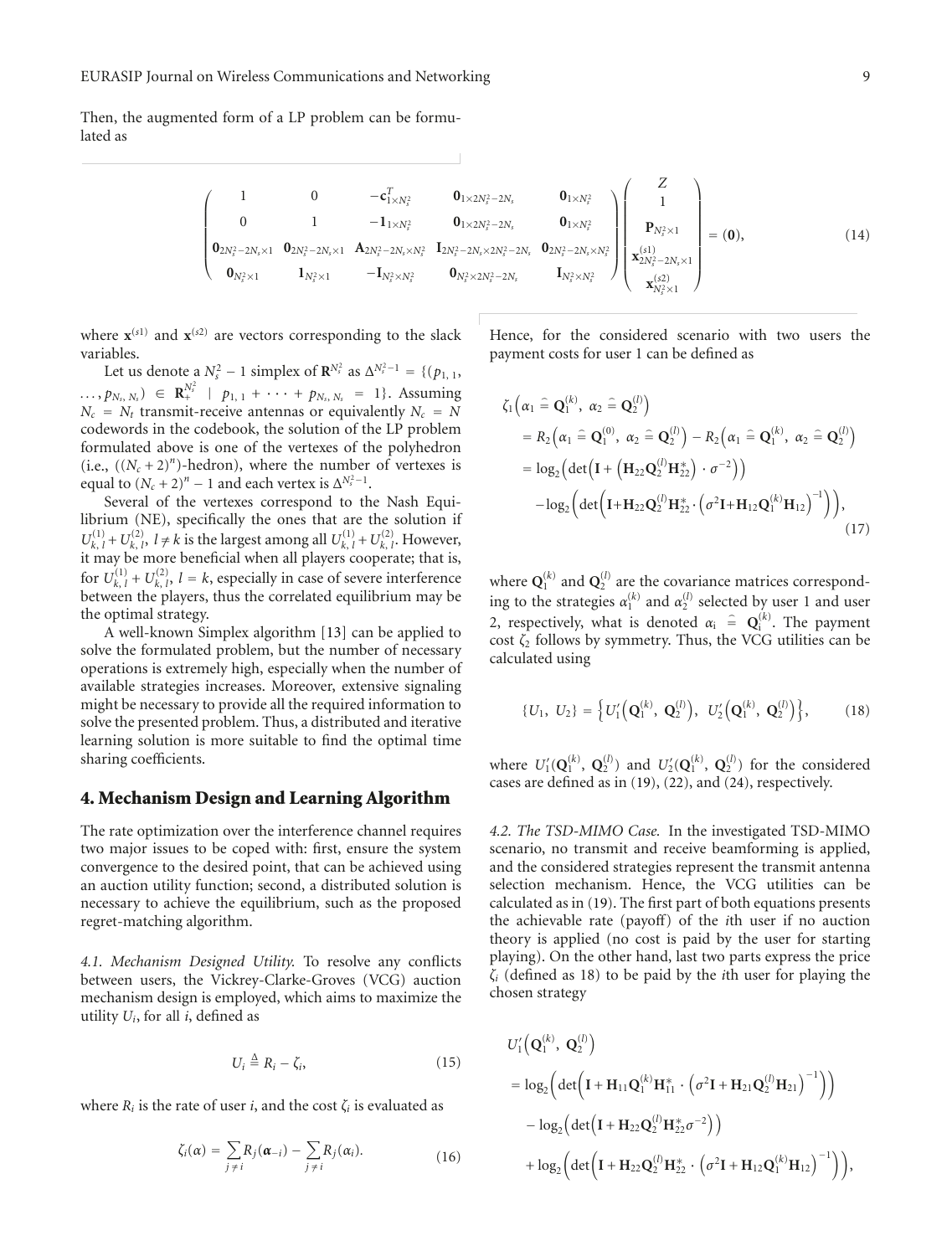Then, the augmented form of a LP problem can be formulated as

$$
\begin{pmatrix}\n1 & 0 & -c_{1\times N_{s}^{2}}^{T} & 0_{1\times 2N_{s}^{2}-2N_{s}} & 0_{1\times N_{s}^{2}} \\
0 & 1 & -1_{1\times N_{s}^{2}} & 0_{1\times 2N_{s}^{2}-2N_{s}} & 0_{1\times N_{s}^{2}} \\
0_{2N_{s}^{2}-2N_{s}\times 1} & 0_{2N_{s}^{2}-2N_{s}\times 1} & A_{2N_{s}^{2}-2N_{s}\times N_{s}^{2}} & I_{2N_{s}^{2}-2N_{s}\times 2N_{s}^{2}-2N_{s}} & 0_{2N_{s}^{2}-2N_{s}\times N_{s}^{2}}\n\end{pmatrix}\n\begin{pmatrix}\nZ \\
1 \\
P_{N_{s}^{2}\times 1} \\
x_{2N_{s}^{2}-2N_{s}\times 1} \\
x_{2N_{s}^{2}-2N_{s}\times 1} \\
x_{N_{s}^{2}\times 1} \\
x_{N_{s}^{2}\times 1}\n\end{pmatrix} = (0),
$$
\n(14)

where  $\mathbf{x}^{(s_1)}$  and  $\mathbf{x}^{(s_2)}$  are vectors corresponding to the slack variables.

Let us denote a  $N_s^2 - 1$  simplex of  $\mathbb{R}^{N_s^2}$  as  $\Delta^{N_s^2 - 1} = \{ (p_{1, 1}, p_{2, 1}, \ldots, p_{N_s^2 - 1} \}$  $\ldots$ ,  $p_{N_s, N_s}$ )  $\in \mathbb{R}_+^{N_s^2}$  |  $p_{1, 1} + \cdots + p_{N_s, N_s} = 1$ }. Assuming  $N_c$  =  $N_t$  transmit-receive antennas or equivalently  $N_c = N_t$ codewords in the codebook, the solution of the LP problem formulated above is one of the vertexes of the polyhedron (i.e.,  $((N_c + 2)^n)$ -hedron), where the number of vertexes is equal to  $(N_c + 2)^n - 1$  and each vertex is  $\Delta^{N_s^2 - 1}$ .

Several of the vertexes correspond to the Nash Equilibrium (NE), specifically the ones that are the solution if  $U_{k, l}^{(1)} + U_{k, l}^{(2)}$ ,  $l \neq k$  is the largest among all  $U_{k, l}^{(1)} + U_{k, l}^{(2)}$ . However, it may be more beneficial when all players cooperate; that is, for  $U_{k, l}^{(1)} + U_{k, l}^{(2)}$ ,  $l = k$ , especially in case of severe interference between the players, thus the correlated equilibrium may be the optimal strategy.

A well-known Simplex algorithm [13] can be applied to solve the formulated problem, but the number of necessary operations is extremely high, especially when the number of available strategies increases. Moreover, extensive signaling might be necessary to provide all the required information to solve the presented problem. Thus, a distributed and iterative learning solution is more suitable to find the optimal time sharing coefficients.

#### **4. Mechanism Design and Learning Algorithm**

The rate optimization over the interference channel requires two major issues to be coped with: first, ensure the system convergence to the desired point, that can be achieved using an auction utility function; second, a distributed solution is necessary to achieve the equilibrium, such as the proposed regret-matching algorithm.

*4.1. Mechanism Designed Utility.* To resolve any conflicts between users, the Vickrey-Clarke-Groves (VCG) auction mechanism design is employed, which aims to maximize the utility *Ui*, for all *i*, defined as

$$
U_i \stackrel{\Delta}{=} R_i - \zeta_i,\tag{15}
$$

where  $R_i$  is the rate of user *i*, and the cost  $\zeta_i$  is evaluated as

$$
\zeta_i(\alpha) = \sum_{j \neq i} R_j(\alpha_{-i}) - \sum_{j \neq i} R_j(\alpha_i). \tag{16}
$$

Hence, for the considered scenario with two users the payment costs for user 1 can be defined as

$$
\zeta_{1}\left(\alpha_{1} \widehat{=} \mathbf{Q}_{1}^{(k)}, \alpha_{2} \widehat{=} \mathbf{Q}_{2}^{(l)}\right) \n= R_{2}\left(\alpha_{1} \widehat{=} \mathbf{Q}_{1}^{(0)}, \alpha_{2} \widehat{=} \mathbf{Q}_{2}^{(l)}\right) - R_{2}\left(\alpha_{1} \widehat{=} \mathbf{Q}_{1}^{(k)}, \alpha_{2} \widehat{=} \mathbf{Q}_{2}^{(l)}\right) \n= \log_{2}\left(\det\left(\mathbf{I} + \left(\mathbf{H}_{22}\mathbf{Q}_{2}^{(l)}\mathbf{H}_{22}^{*}\right) \cdot \sigma^{-2}\right)\right) \n- \log_{2}\left(\det\left(\mathbf{I} + \mathbf{H}_{22}\mathbf{Q}_{2}^{(l)}\mathbf{H}_{22}^{*} \cdot \left(\sigma^{2}\mathbf{I} + \mathbf{H}_{12}\mathbf{Q}_{1}^{(k)}\mathbf{H}_{12}\right)^{-1}\right)\right),
$$
\n(17)

where  $\mathbf{Q}_1^{(k)}$  and  $\mathbf{Q}_2^{(l)}$  are the covariance matrices corresponding to the strategies  $\alpha_1^{(k)}$  and  $\alpha_2^{(l)}$  selected by user 1 and user 2, respectively, what is denoted  $\alpha_i$  =  $\mathbf{Q}_i^{(k)}$ . The payment cost  $\zeta_2$  follows by symmetry. Thus, the VCG utilities can be calculated using

$$
\{U_1, U_2\} = \left\{U_1'\left(\mathbf{Q}_1^{(k)}, \mathbf{Q}_2^{(l)}\right), U_2'\left(\mathbf{Q}_1^{(k)}, \mathbf{Q}_2^{(l)}\right)\right\},\tag{18}
$$

where  $U_1'(\mathbf{Q}_1^{(k)}, \mathbf{Q}_2^{(l)})$  and  $U_2'(\mathbf{Q}_1^{(k)}, \mathbf{Q}_2^{(l)})$  for the considered cases are defined as in (19), (22), and (24), respectively.

*4.2. The TSD-MIMO Case.* In the investigated TSD-MIMO scenario, no transmit and receive beamforming is applied, and the considered strategies represent the transmit antenna selection mechanism. Hence, the VCG utilities can be calculated as in (19). The first part of both equations presents the achievable rate (payoff) of the *i*th user if no auction theory is applied (no cost is paid by the user for starting playing). On the other hand, last two parts express the price *ζi* (defined as 18) to be paid by the *i*th user for playing the chosen strategy

$$
U'_{1}\left(\mathbf{Q}_{1}^{(k)}, \mathbf{Q}_{2}^{(l)}\right)
$$
  
=  $\log_{2}\left(\det\left(\mathbf{I} + \mathbf{H}_{11}\mathbf{Q}_{1}^{(k)}\mathbf{H}_{11}^{*} \cdot \left(\sigma^{2}\mathbf{I} + \mathbf{H}_{21}\mathbf{Q}_{2}^{(l)}\mathbf{H}_{21}\right)^{-1}\right)\right)$   
-  $\log_{2}\left(\det\left(\mathbf{I} + \mathbf{H}_{22}\mathbf{Q}_{2}^{(l)}\mathbf{H}_{22}^{*}\sigma^{-2}\right)\right)$   
+  $\log_{2}\left(\det\left(\mathbf{I} + \mathbf{H}_{22}\mathbf{Q}_{2}^{(l)}\mathbf{H}_{22}^{*} \cdot \left(\sigma^{2}\mathbf{I} + \mathbf{H}_{12}\mathbf{Q}_{1}^{(k)}\mathbf{H}_{12}\right)^{-1}\right)\right),$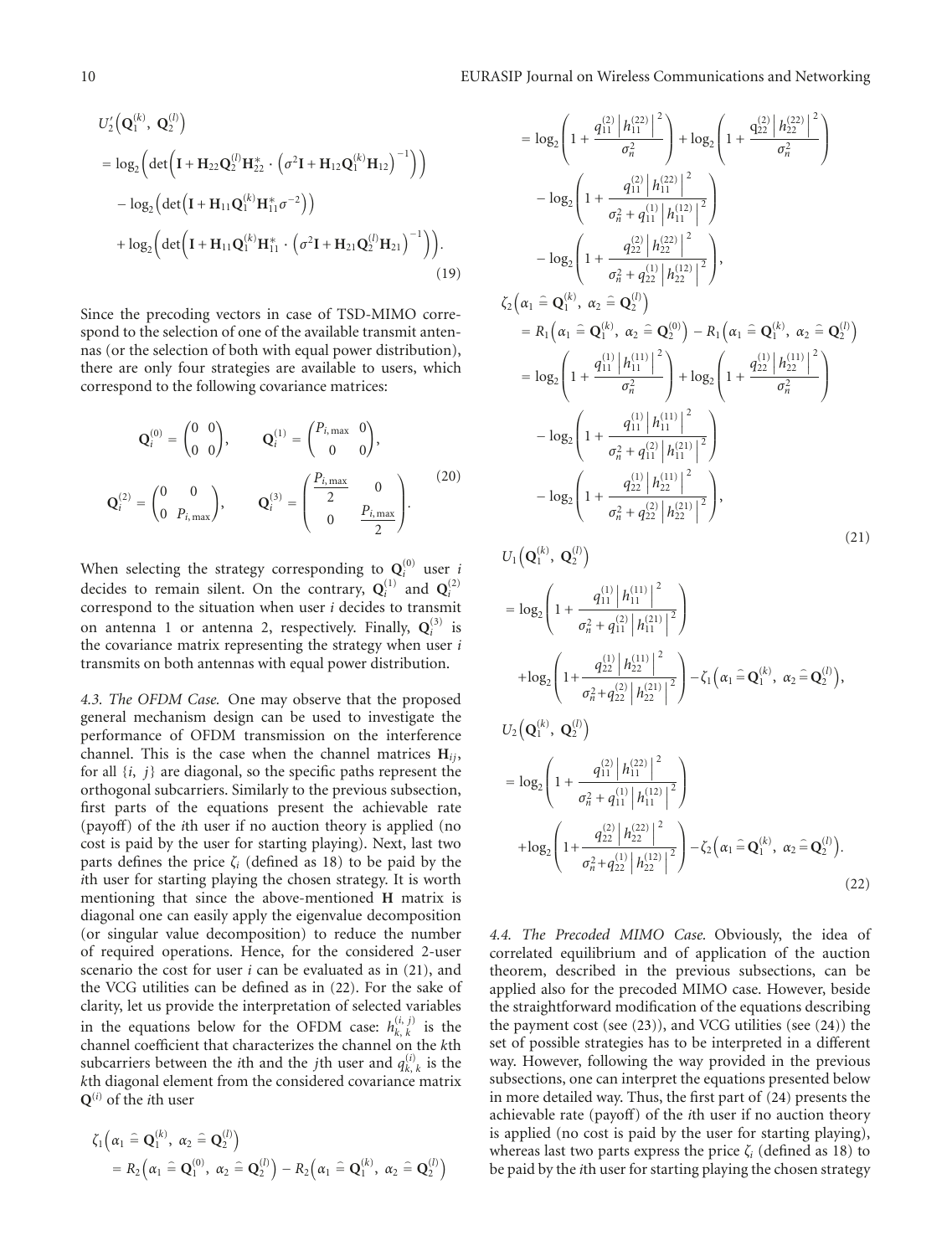$$
U'_{2}(\mathbf{Q}_{1}^{(k)}, \mathbf{Q}_{2}^{(l)})
$$
  
=  $\log_{2} \left( \det \left( \mathbf{I} + \mathbf{H}_{22} \mathbf{Q}_{2}^{(l)} \mathbf{H}_{22}^{*} \cdot \left( \sigma^{2} \mathbf{I} + \mathbf{H}_{12} \mathbf{Q}_{1}^{(k)} \mathbf{H}_{12} \right)^{-1} \right) \right)$   
-  $\log_{2} \left( \det \left( \mathbf{I} + \mathbf{H}_{11} \mathbf{Q}_{1}^{(k)} \mathbf{H}_{11}^{*} \sigma^{-2} \right) \right)$   
+  $\log_{2} \left( \det \left( \mathbf{I} + \mathbf{H}_{11} \mathbf{Q}_{1}^{(k)} \mathbf{H}_{11}^{*} \cdot \left( \sigma^{2} \mathbf{I} + \mathbf{H}_{21} \mathbf{Q}_{2}^{(l)} \mathbf{H}_{21} \right)^{-1} \right) \right).$  (19)

Since the precoding vectors in case of TSD-MIMO correspond to the selection of one of the available transmit antennas (or the selection of both with equal power distribution), there are only four strategies are available to users, which correspond to the following covariance matrices:

$$
\mathbf{Q}_{i}^{(0)} = \begin{pmatrix} 0 & 0 \\ 0 & 0 \end{pmatrix}, \qquad \mathbf{Q}_{i}^{(1)} = \begin{pmatrix} P_{i,\text{max}} & 0 \\ 0 & 0 \end{pmatrix},
$$

$$
\mathbf{Q}_{i}^{(2)} = \begin{pmatrix} 0 & 0 \\ 0 & P_{i,\text{max}} \end{pmatrix}, \qquad \mathbf{Q}_{i}^{(3)} = \begin{pmatrix} \frac{P_{i,\text{max}}}{2} & 0 \\ 0 & \frac{P_{i,\text{max}}}{2} \end{pmatrix}.
$$
 (20)

When selecting the strategy corresponding to  $\mathbf{Q}_i^{(0)}$  user *i* decides to remain silent. On the contrary,  $Q_i^{(1)}$  and  $Q_i^{(2)}$  correspond to the situation when user *i* decides to transmit on antenna 1 or antenna 2, respectively. Finally,  $Q_i^{(3)}$  is the covariance matrix representing the strategy when user *i* transmits on both antennas with equal power distribution.

*4.3. The OFDM Case.* One may observe that the proposed general mechanism design can be used to investigate the performance of OFDM transmission on the interference channel. This is the case when the channel matrices  $H_{ii}$ , for all {*i*, *j*} are diagonal, so the specific paths represent the orthogonal subcarriers. Similarly to the previous subsection, first parts of the equations present the achievable rate (payoff) of the *i*th user if no auction theory is applied (no cost is paid by the user for starting playing). Next, last two parts defines the price  $\zeta_i$  (defined as 18) to be paid by the *i*th user for starting playing the chosen strategy. It is worth mentioning that since the above-mentioned **H** matrix is diagonal one can easily apply the eigenvalue decomposition (or singular value decomposition) to reduce the number of required operations. Hence, for the considered 2-user scenario the cost for user *i* can be evaluated as in (21), and the VCG utilities can be defined as in (22). For the sake of clarity, let us provide the interpretation of selected variables in the equations below for the OFDM case:  $h_{k,k}^{(i,j)}$  is the channel coefficient that characterizes the channel on the *k*th subcarriers between the *i*th and the *j*th user and  $q_{k, k}^{(i)}$  is the *k*th diagonal element from the considered covariance matrix **Q**(*i*) of the *i*th user

$$
\zeta_1\left(\alpha_1 \widehat{=} \mathbf{Q}_1^{(k)}, \ \alpha_2 \widehat{=} \mathbf{Q}_2^{(l)}\right) \n= R_2\left(\alpha_1 \widehat{=} \mathbf{Q}_1^{(0)}, \ \alpha_2 \widehat{=} \mathbf{Q}_2^{(l)}\right) - R_2\left(\alpha_1 \widehat{=} \mathbf{Q}_1^{(k)}, \ \alpha_2 \widehat{=} \mathbf{Q}_2^{(l)}\right)
$$

$$
= \log_2\left(1 + \frac{q_{11}^{(2)} |h_{11}^{(22)}|^2}{\sigma_n^2}\right) + \log_2\left(1 + \frac{q_{22}^{(2)} |h_{22}^{(22)}|^2}{\sigma_n^2}\right)
$$
  
\n
$$
- \log_2\left(1 + \frac{q_{11}^{(2)} |h_{11}^{(22)}|^2}{\sigma_n^2 + q_{11}^{(1)} |h_{11}^{(22)}|^2}\right)
$$
  
\n
$$
- \log_2\left(1 + \frac{q_{22}^{(2)} |h_{22}^{(22)}|^2}{\sigma_n^2 + q_{22}^{(2)} |h_{22}^{(22)}|^2}\right),
$$
  
\n
$$
\zeta_2\left(\alpha_1 \in \mathbf{Q}_1^{(k)}, \alpha_2 \in \mathbf{Q}_2^{(l)}\right)
$$
  
\n
$$
= R_1\left(\alpha_1 \in \mathbf{Q}_1^{(k)}, \alpha_2 \in \mathbf{Q}_2^{(0)}\right) - R_1\left(\alpha_1 \in \mathbf{Q}_1^{(k)}, \alpha_2 \in \mathbf{Q}_2^{(l)}\right)
$$
  
\n
$$
= \log_2\left(1 + \frac{q_{11}^{(1)} |h_{11}^{(11)}|^2}{\sigma_n^2}\right) + \log_2\left(1 + \frac{q_{22}^{(1)} |h_{22}^{(11)}|^2}{\sigma_n^2}\right)
$$
  
\n
$$
- \log_2\left(1 + \frac{q_{11}^{(1)} |h_{11}^{(11)}|^2}{\sigma_n^2 + q_{12}^{(2)} |h_{22}^{(21)}|^2}\right),
$$
  
\n
$$
U_1\left(\mathbf{Q}_1^{(k)}, \mathbf{Q}_2^{(l)}\right)
$$
  
\n
$$
= \log_2\left(1 + \frac{q_{11}^{(1)} |h_{11}^{(11)}|^2}{\sigma_n^2 + q_{12}^{(2)} |h_{22}^{(21)}|^2}\right),
$$
  
\n
$$
U_2\left(\mathbf{Q}_1^{(k)}, \mathbf{Q}_2^{(l)}\right)
$$
  
\n
$$
= \log_2\left(1 + \frac{
$$

$$
+\log_2\left(1+\frac{q_{22}^{(2)}\left|h_{22}^{(22)}\right|^2}{\sigma_n^2+q_{22}^{(1)}\left|h_{22}^{(12)}\right|^2}\right)-\zeta_2\left(\alpha_1\,\widehat{=}\,\mathbf{Q}_1^{(k)},\ \alpha_2\,\widehat{=}\,\mathbf{Q}_2^{(l)}\right).
$$
\n(22)

*4.4. The Precoded MIMO Case.* Obviously, the idea of correlated equilibrium and of application of the auction theorem, described in the previous subsections, can be applied also for the precoded MIMO case. However, beside the straightforward modification of the equations describing the payment cost (see (23)), and VCG utilities (see (24)) the set of possible strategies has to be interpreted in a different way. However, following the way provided in the previous subsections, one can interpret the equations presented below in more detailed way. Thus, the first part of (24) presents the achievable rate (payoff) of the *i*th user if no auction theory is applied (no cost is paid by the user for starting playing), whereas last two parts express the price  $\zeta_i$  (defined as 18) to be paid by the *i*th user for starting playing the chosen strategy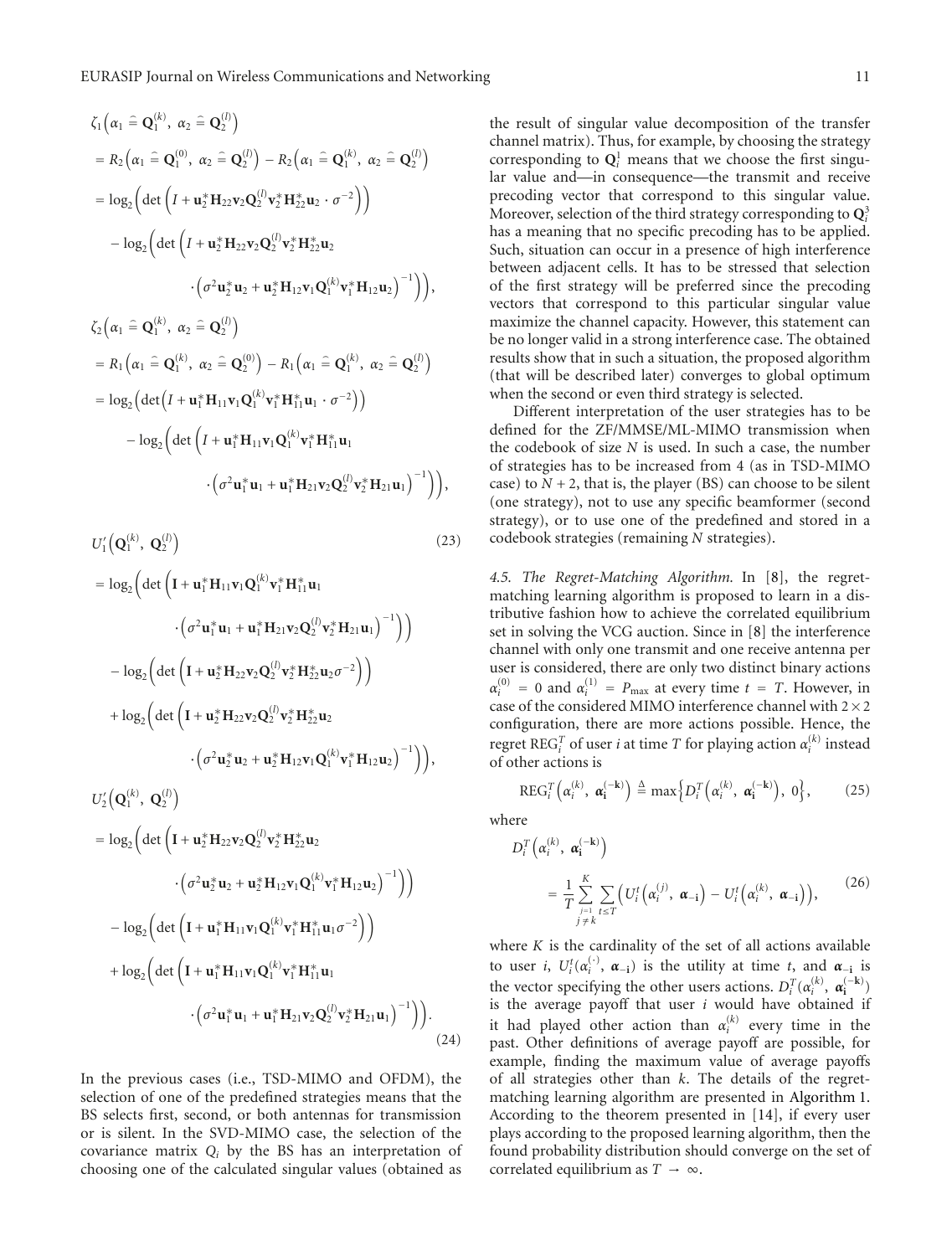$$
\zeta_{1}(\alpha_{1} \hat{=} \mathbf{Q}_{1}^{(k)}, \alpha_{2} \hat{=} \mathbf{Q}_{2}^{(l)})
$$
\n
$$
= R_{2}(\alpha_{1} \hat{=} \mathbf{Q}_{1}^{(0)}, \alpha_{2} \hat{=} \mathbf{Q}_{2}^{(l)}) - R_{2}(\alpha_{1} \hat{=} \mathbf{Q}_{1}^{(k)}, \alpha_{2} \hat{=} \mathbf{Q}_{2}^{(l)})
$$
\n
$$
= \log_{2} \Big( \det \Big( I + \mathbf{u}_{2}^{*} \mathbf{H}_{22} \mathbf{v}_{2} \mathbf{Q}_{2}^{(l)} \mathbf{v}_{2}^{*} \mathbf{H}_{22}^{*} \mathbf{u}_{2} \cdot \sigma^{-2} \Big) \Big)
$$
\n
$$
- \log_{2} \Big( \det \Big( I + \mathbf{u}_{2}^{*} \mathbf{H}_{22} \mathbf{v}_{2} \mathbf{Q}_{2}^{(l)} \mathbf{v}_{2}^{*} \mathbf{H}_{22}^{*} \mathbf{u}_{2}
$$
\n
$$
\cdot \Big( \sigma^{2} \mathbf{u}_{2}^{*} \mathbf{u}_{2} + \mathbf{u}_{2}^{*} \mathbf{H}_{12} \mathbf{v}_{1} \mathbf{Q}_{1}^{(k)} \mathbf{v}_{1}^{*} \mathbf{H}_{12} \mathbf{u}_{2} \Big)^{-1} \Big) \Big),
$$
\n
$$
\zeta_{2}(\alpha_{1} \hat{=} \mathbf{Q}_{1}^{(k)}, \alpha_{2} \hat{=} \mathbf{Q}_{2}^{(l)})
$$
\n
$$
= R_{1}(\alpha_{1} \hat{=} \mathbf{Q}_{1}^{(k)}, \alpha_{2} \hat{=} \mathbf{Q}_{2}^{(0)}) - R_{1}(\alpha_{1} \hat{=} \mathbf{Q}_{1}^{(k)}, \alpha_{2} \hat{=} \mathbf{Q}_{2}^{(l)})
$$
\n
$$
= \log_{2} \Big( \det \Big( I + \mathbf{u}_{1}^{*} \mathbf{H}_{11} \mathbf{v}_{1} \mathbf{Q}_{1}^{(k)} \mathbf{v}_{1}^{*} \mathbf{H}_{11}^{*} \mathbf{u}_{1} \cdot \sigma^{-2} \Big) \Big) - \log_{2} \Big( \det \Big
$$

 $\mathcal{L}(\mathbf{r}, \mathbf{r})$ 

 $(1)$ 

$$
U'_{1}(\mathbf{Q}_{1}^{(k)}, \mathbf{Q}_{2}^{(l)})
$$
\n
$$
= \log_{2} \Big( \det \Big( \mathbf{I} + \mathbf{u}_{1}^{*} \mathbf{H}_{11} \mathbf{v}_{1} \mathbf{Q}_{1}^{(k)} \mathbf{v}_{1}^{*} \mathbf{H}_{11}^{*} \mathbf{u}_{1}
$$
\n
$$
\cdot \Big( \sigma^{2} \mathbf{u}_{1}^{*} \mathbf{u}_{1} + \mathbf{u}_{1}^{*} \mathbf{H}_{21} \mathbf{v}_{2} \mathbf{Q}_{2}^{(l)} \mathbf{v}_{2}^{*} \mathbf{H}_{21} \mathbf{u}_{1} \Big)^{-1} \Big) \Big)
$$
\n
$$
- \log_{2} \Big( \det \Big( \mathbf{I} + \mathbf{u}_{2}^{*} \mathbf{H}_{22} \mathbf{v}_{2} \mathbf{Q}_{2}^{(l)} \mathbf{v}_{2}^{*} \mathbf{H}_{22}^{*} \mathbf{u}_{2} \sigma^{-2} \Big) \Big)
$$
\n
$$
+ \log_{2} \Big( \det \Big( \mathbf{I} + \mathbf{u}_{2}^{*} \mathbf{H}_{22} \mathbf{v}_{2} \mathbf{Q}_{2}^{(l)} \mathbf{v}_{2}^{*} \mathbf{H}_{22}^{*} \mathbf{u}_{2}
$$
\n
$$
\cdot \Big( \sigma^{2} \mathbf{u}_{2}^{*} \mathbf{u}_{2} + \mathbf{u}_{2}^{*} \mathbf{H}_{12} \mathbf{v}_{1} \mathbf{Q}_{1}^{(k)} \mathbf{v}_{1}^{*} \mathbf{H}_{12} \mathbf{u}_{2} \Big)^{-1} \Big) \Big),
$$
\n
$$
U'_{2}(\mathbf{Q}_{1}^{(k)}, \mathbf{Q}_{2}^{(l)})
$$
\n
$$
= \log_{2} \Big( \det \Big( \mathbf{I} + \mathbf{u}_{2}^{*} \mathbf{H}_{22} \mathbf{v}_{2} \mathbf{Q}_{2}^{(l)} \mathbf{v}_{2}^{*} \mathbf{H}_{22}^{*} \mathbf{u}_{2}
$$
\n
$$
\cdot \Big( \sigma^{2} \mathbf{u}_{2}^{*} \mathbf{u}_{2} +
$$

In the previous cases (i.e., TSD-MIMO and OFDM), the selection of one of the predefined strategies means that the BS selects first, second, or both antennas for transmission or is silent. In the SVD-MIMO case, the selection of the covariance matrix *Qi* by the BS has an interpretation of choosing one of the calculated singular values (obtained as

the result of singular value decomposition of the transfer channel matrix). Thus, for example, by choosing the strategy corresponding to  $Q_i^1$  means that we choose the first singular value and—in consequence—the transmit and receive precoding vector that correspond to this singular value. Moreover, selection of the third strategy corresponding to **Q**<sup>3</sup> *i* has a meaning that no specific precoding has to be applied. Such, situation can occur in a presence of high interference between adjacent cells. It has to be stressed that selection of the first strategy will be preferred since the precoding vectors that correspond to this particular singular value maximize the channel capacity. However, this statement can be no longer valid in a strong interference case. The obtained results show that in such a situation, the proposed algorithm (that will be described later) converges to global optimum when the second or even third strategy is selected.

Different interpretation of the user strategies has to be defined for the ZF/MMSE/ML-MIMO transmission when the codebook of size *N* is used. In such a case, the number of strategies has to be increased from 4 (as in TSD-MIMO case) to  $N + 2$ , that is, the player (BS) can choose to be silent (one strategy), not to use any specific beamformer (second strategy), or to use one of the predefined and stored in a codebook strategies (remaining *N* strategies).

*4.5. The Regret-Matching Algorithm.* In [8], the regretmatching learning algorithm is proposed to learn in a distributive fashion how to achieve the correlated equilibrium set in solving the VCG auction. Since in [8] the interference channel with only one transmit and one receive antenna per user is considered, there are only two distinct binary actions  $\alpha_i^{(0)} = 0$  and  $\alpha_i^{(1)} = P_{\text{max}}$  at every time  $t = T$ . However, in case of the considered MIMO interference channel with  $2\times 2$ configuration, there are more actions possible. Hence, the regret  $\text{REG}_i^T$  of user *i* at time *T* for playing action  $\alpha_i^{(k)}$  instead of other actions is

$$
REG_i^T(\alpha_i^{(k)}, \alpha_i^{(-k)}) \triangleq \max\left\{D_i^T(\alpha_i^{(k)}, \alpha_i^{(-k)}), 0\right\},\tag{25}
$$

where

$$
D_i^T\left(\alpha_i^{(k)}, \boldsymbol{\alpha}_i^{(-k)}\right)
$$
  
= 
$$
\frac{1}{T} \sum_{\substack{j=1 \ j \neq k}}^K \sum_{t \leq T} \left(U_i^t\left(\alpha_i^{(j)}, \boldsymbol{\alpha}_{-i}\right) - U_i^t\left(\alpha_i^{(k)}, \boldsymbol{\alpha}_{-i}\right)\right),
$$
 (26)

where *K* is the cardinality of the set of all actions available to user *i*,  $U_i^t(\alpha_i^{(\cdot)}, \alpha_{-i})$  is the utility at time *t*, and  $\alpha_{-i}$  is the vector specifying the other users actions.  $D_i^T(\alpha_i^{(k)}, \alpha_i^{(-k)})$ is the average payoff that user *i* would have obtained if it had played other action than  $\alpha_i^{(k)}$  every time in the past. Other definitions of average payoff are possible, for example, finding the maximum value of average payoffs of all strategies other than *k*. The details of the regretmatching learning algorithm are presented in Algorithm 1. According to the theorem presented in [14], if every user plays according to the proposed learning algorithm, then the found probability distribution should converge on the set of correlated equilibrium as  $T \rightarrow \infty$ .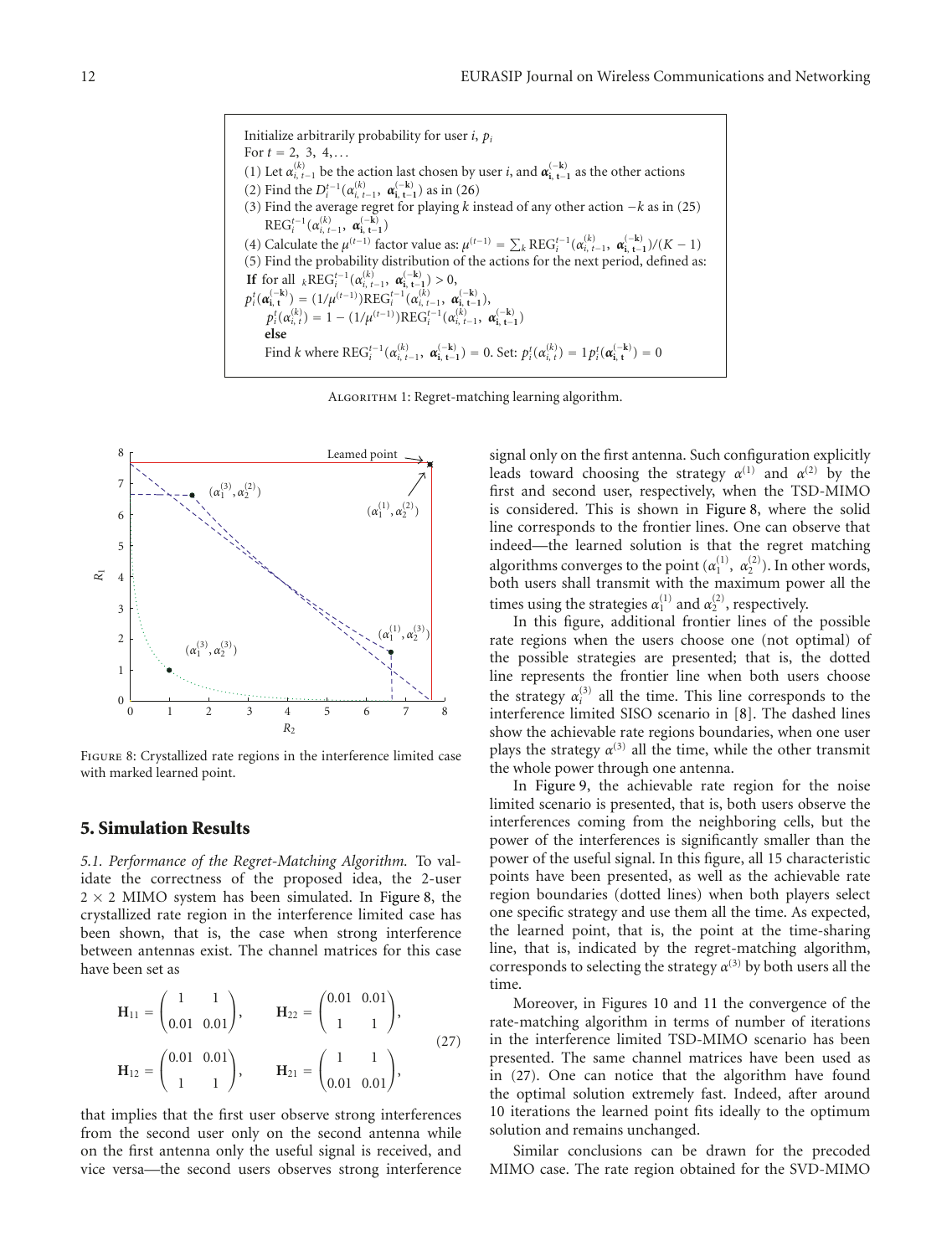Initialize arbitrarily probability for user *i*, *pi* For  $t = 2, 3, 4, \ldots$ (1) Let  $\alpha_{i, t-1}^{(k)}$  be the action last chosen by user *i*, and  $\alpha_{i, t-1}^{(-k)}$  as the other actions (2) Find the  $D_i^{t-1}(\alpha_{i, t-1}^{(k)}, \alpha_{i, t-1}^{(-k)})$  as in (26) (3) Find the average regret for playing *k* instead of any other action −*k* as in (25)  $\text{REG}_i^{t-1}(\alpha_{i, t-1}^{(k)}, \alpha_{i, t-1}^{(-k)})$ (4) Calculate the  $\mu^{(t-1)}$  factor value as:  $\mu^{(t-1)} = \sum_{k} \text{REG}_{i}^{t-1} (\alpha_{i, t-1}^{(k)}, \alpha_{i, t-1}^{(-k)})/(K - 1)$ (5) Find the probability distribution of the actions for the next period, defined as: **If** for all  ${}_{k}$ REG<sup>*t*-1</sup> $(\alpha_{i, t-1}^{(k)}, \alpha_{i, t-1}^{(-k)}) > 0$ ,  $p_i^t(\boldsymbol{\alpha}_{i,t}^{(-k)}) = (1/\mu^{(t-1)})\text{REG}_i^{t-1}(\boldsymbol{\alpha}_{i,t-1}^{(k)}, \boldsymbol{\alpha}_{i,t-1}^{(-k)}),$  $p_i^t(\alpha_{i, t}^{(k)}) = 1 - (1/\mu^{(t-1)})\text{REG}_i^{t-1}(\alpha_{i, t-1}^{(k)}, \alpha_{i, t-1}^{(-k)})$ **else** Find k where  $\text{REG}_{i}^{t-1}(\alpha_{i,t-1}^{(k)}, \alpha_{i,t-1}^{(-k)}) = 0$ . Set:  $p_i^t(\alpha_{i,t}^{(k)}) = 1 p_i^t(\alpha_{i,t}^{(-k)}) = 0$ 

Algorithm 1: Regret-matching learning algorithm.



Figure 8: Crystallized rate regions in the interference limited case with marked learned point.

#### **5. Simulation Results**

*5.1. Performance of the Regret-Matching Algorithm.* To validate the correctness of the proposed idea, the 2-user  $2 \times 2$  MIMO system has been simulated. In Figure 8, the crystallized rate region in the interference limited case has been shown, that is, the case when strong interference between antennas exist. The channel matrices for this case have been set as

$$
\mathbf{H}_{11} = \begin{pmatrix} 1 & 1 \\ 0.01 & 0.01 \end{pmatrix}, \qquad \mathbf{H}_{22} = \begin{pmatrix} 0.01 & 0.01 \\ 1 & 1 \end{pmatrix},
$$
  
\n
$$
\mathbf{H}_{12} = \begin{pmatrix} 0.01 & 0.01 \\ 1 & 1 \end{pmatrix}, \qquad \mathbf{H}_{21} = \begin{pmatrix} 1 & 1 \\ 0.01 & 0.01 \end{pmatrix},
$$
 (27)

that implies that the first user observe strong interferences from the second user only on the second antenna while on the first antenna only the useful signal is received, and vice versa—the second users observes strong interference

signal only on the first antenna. Such configuration explicitly leads toward choosing the strategy  $\alpha^{(1)}$  and  $\alpha^{(2)}$  by the first and second user, respectively, when the TSD-MIMO is considered. This is shown in Figure 8, where the solid line corresponds to the frontier lines. One can observe that indeed—the learned solution is that the regret matching algorithms converges to the point  $(\alpha_1^{(1)}, \alpha_2^{(2)})$ . In other words, both users shall transmit with the maximum power all the times using the strategies  $\alpha_1^{(1)}$  and  $\alpha_2^{(2)}$ , respectively.

In this figure, additional frontier lines of the possible rate regions when the users choose one (not optimal) of the possible strategies are presented; that is, the dotted line represents the frontier line when both users choose the strategy  $\alpha_i^{(3)}$  all the time. This line corresponds to the interference limited SISO scenario in [8]. The dashed lines show the achievable rate regions boundaries, when one user plays the strategy  $\alpha^{(3)}$  all the time, while the other transmit the whole power through one antenna.

In Figure 9, the achievable rate region for the noise limited scenario is presented, that is, both users observe the interferences coming from the neighboring cells, but the power of the interferences is significantly smaller than the power of the useful signal. In this figure, all 15 characteristic points have been presented, as well as the achievable rate region boundaries (dotted lines) when both players select one specific strategy and use them all the time. As expected, the learned point, that is, the point at the time-sharing line, that is, indicated by the regret-matching algorithm, corresponds to selecting the strategy  $\alpha^{(3)}$  by both users all the time.

Moreover, in Figures 10 and 11 the convergence of the rate-matching algorithm in terms of number of iterations in the interference limited TSD-MIMO scenario has been presented. The same channel matrices have been used as in (27). One can notice that the algorithm have found the optimal solution extremely fast. Indeed, after around 10 iterations the learned point fits ideally to the optimum solution and remains unchanged.

Similar conclusions can be drawn for the precoded MIMO case. The rate region obtained for the SVD-MIMO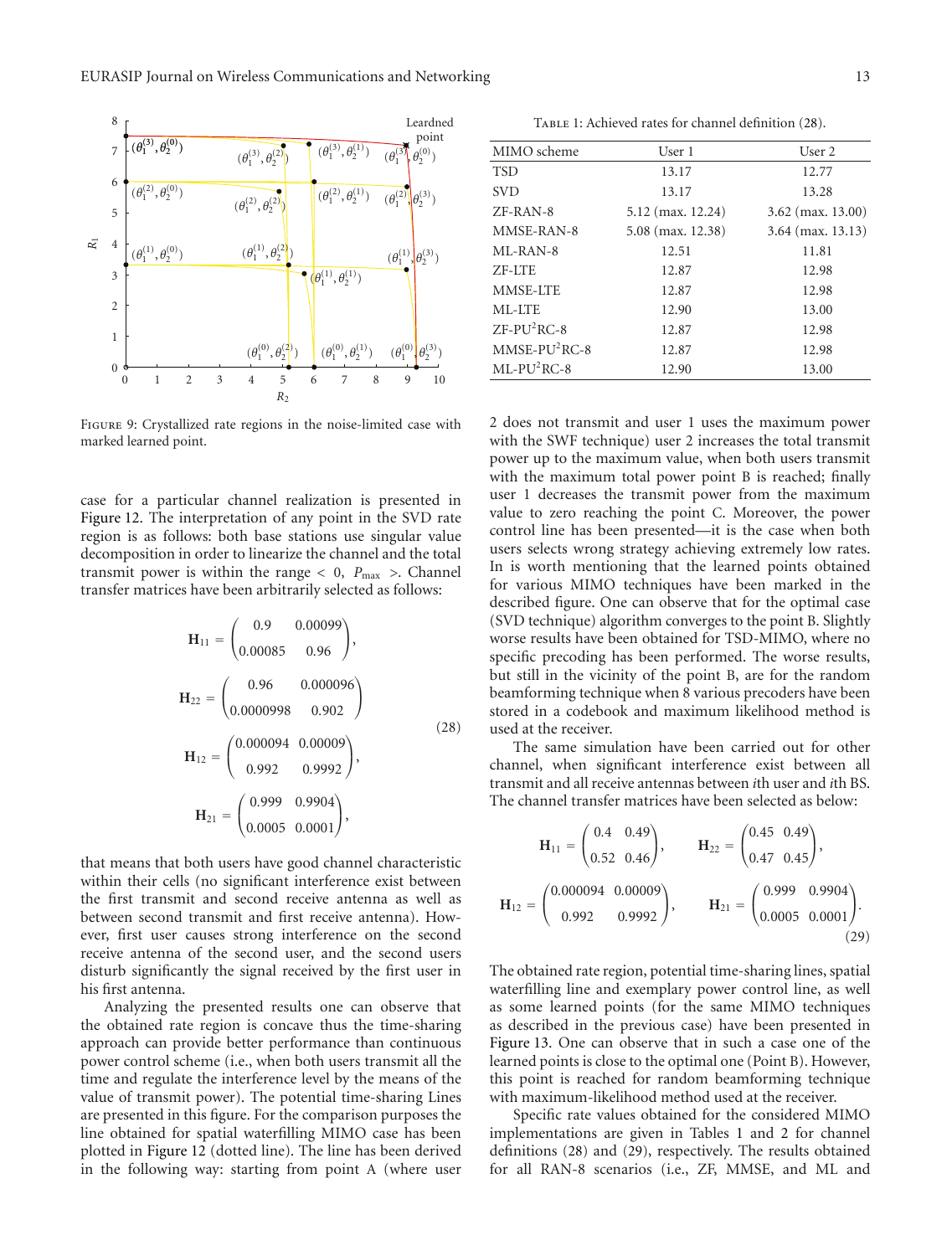

Figure 9: Crystallized rate regions in the noise-limited case with marked learned point.

case for a particular channel realization is presented in Figure 12. The interpretation of any point in the SVD rate region is as follows: both base stations use singular value decomposition in order to linearize the channel and the total transmit power is within the range  $< 0$ ,  $P_{\text{max}}$  >. Channel transfer matrices have been arbitrarily selected as follows:

$$
\mathbf{H}_{11} = \begin{pmatrix} 0.9 & 0.00099 \\ 0.00085 & 0.96 \end{pmatrix},
$$
  
\n
$$
\mathbf{H}_{22} = \begin{pmatrix} 0.96 & 0.000096 \\ 0.0000998 & 0.902 \end{pmatrix}
$$
  
\n
$$
\mathbf{H}_{12} = \begin{pmatrix} 0.000094 & 0.00009 \\ 0.992 & 0.9992 \end{pmatrix},
$$
  
\n
$$
\mathbf{H}_{21} = \begin{pmatrix} 0.999 & 0.9904 \\ 0.0005 & 0.0001 \end{pmatrix},
$$
 (28)

that means that both users have good channel characteristic within their cells (no significant interference exist between the first transmit and second receive antenna as well as between second transmit and first receive antenna). However, first user causes strong interference on the second receive antenna of the second user, and the second users disturb significantly the signal received by the first user in his first antenna.

Analyzing the presented results one can observe that the obtained rate region is concave thus the time-sharing approach can provide better performance than continuous power control scheme (i.e., when both users transmit all the time and regulate the interference level by the means of the value of transmit power). The potential time-sharing Lines are presented in this figure. For the comparison purposes the line obtained for spatial waterfilling MIMO case has been plotted in Figure 12 (dotted line). The line has been derived in the following way: starting from point A (where user

TABLE 1: Achieved rates for channel definition (28).

| MIMO scheme                   | User 1              | User 2              |  |
|-------------------------------|---------------------|---------------------|--|
| <b>TSD</b>                    | 13.17               | 12.77               |  |
| <b>SVD</b>                    | 13.17               | 13.28               |  |
| $ZF-RAN-8$                    | $5.12$ (max. 12.24) | $3.62$ (max. 13.00) |  |
| MMSE-RAN-8                    | 5.08 (max. 12.38)   | $3.64$ (max. 13.13) |  |
| $MI - RAN - 8$                | 12.51               | 11.81               |  |
| ZF-ITE                        | 12.87               | 12.98               |  |
| MMSE-LTE                      | 12.87               | 12.98               |  |
| ML-LTE                        | 12.90               | 13.00               |  |
| $ZF-PU2RC-8$                  | 12.87               | 12.98               |  |
| $MMSE-PU2RC-8$                | 12.87               | 12.98               |  |
| $ML$ - $PU$ <sup>2</sup> RC-8 | 12.90               | 13.00               |  |
|                               |                     |                     |  |

2 does not transmit and user 1 uses the maximum power with the SWF technique) user 2 increases the total transmit power up to the maximum value, when both users transmit with the maximum total power point B is reached; finally user 1 decreases the transmit power from the maximum value to zero reaching the point C. Moreover, the power control line has been presented—it is the case when both users selects wrong strategy achieving extremely low rates. In is worth mentioning that the learned points obtained for various MIMO techniques have been marked in the described figure. One can observe that for the optimal case (SVD technique) algorithm converges to the point B. Slightly worse results have been obtained for TSD-MIMO, where no specific precoding has been performed. The worse results, but still in the vicinity of the point B, are for the random beamforming technique when 8 various precoders have been stored in a codebook and maximum likelihood method is used at the receiver.

The same simulation have been carried out for other channel, when significant interference exist between all transmit and all receive antennas between *i*th user and *i*th BS. The channel transfer matrices have been selected as below:

$$
\mathbf{H}_{11} = \begin{pmatrix} 0.4 & 0.49 \\ 0.52 & 0.46 \end{pmatrix}, \qquad \mathbf{H}_{22} = \begin{pmatrix} 0.45 & 0.49 \\ 0.47 & 0.45 \end{pmatrix},
$$

$$
\mathbf{H}_{12} = \begin{pmatrix} 0.000094 & 0.00009 \\ 0.992 & 0.9992 \end{pmatrix}, \qquad \mathbf{H}_{21} = \begin{pmatrix} 0.999 & 0.9904 \\ 0.0005 & 0.0001 \end{pmatrix}.
$$
(29)

The obtained rate region, potential time-sharing lines, spatial waterfilling line and exemplary power control line, as well as some learned points (for the same MIMO techniques as described in the previous case) have been presented in Figure 13. One can observe that in such a case one of the learned points is close to the optimal one (Point B). However, this point is reached for random beamforming technique with maximum-likelihood method used at the receiver.

Specific rate values obtained for the considered MIMO implementations are given in Tables 1 and 2 for channel definitions (28) and (29), respectively. The results obtained for all RAN-8 scenarios (i.e., ZF, MMSE, and ML and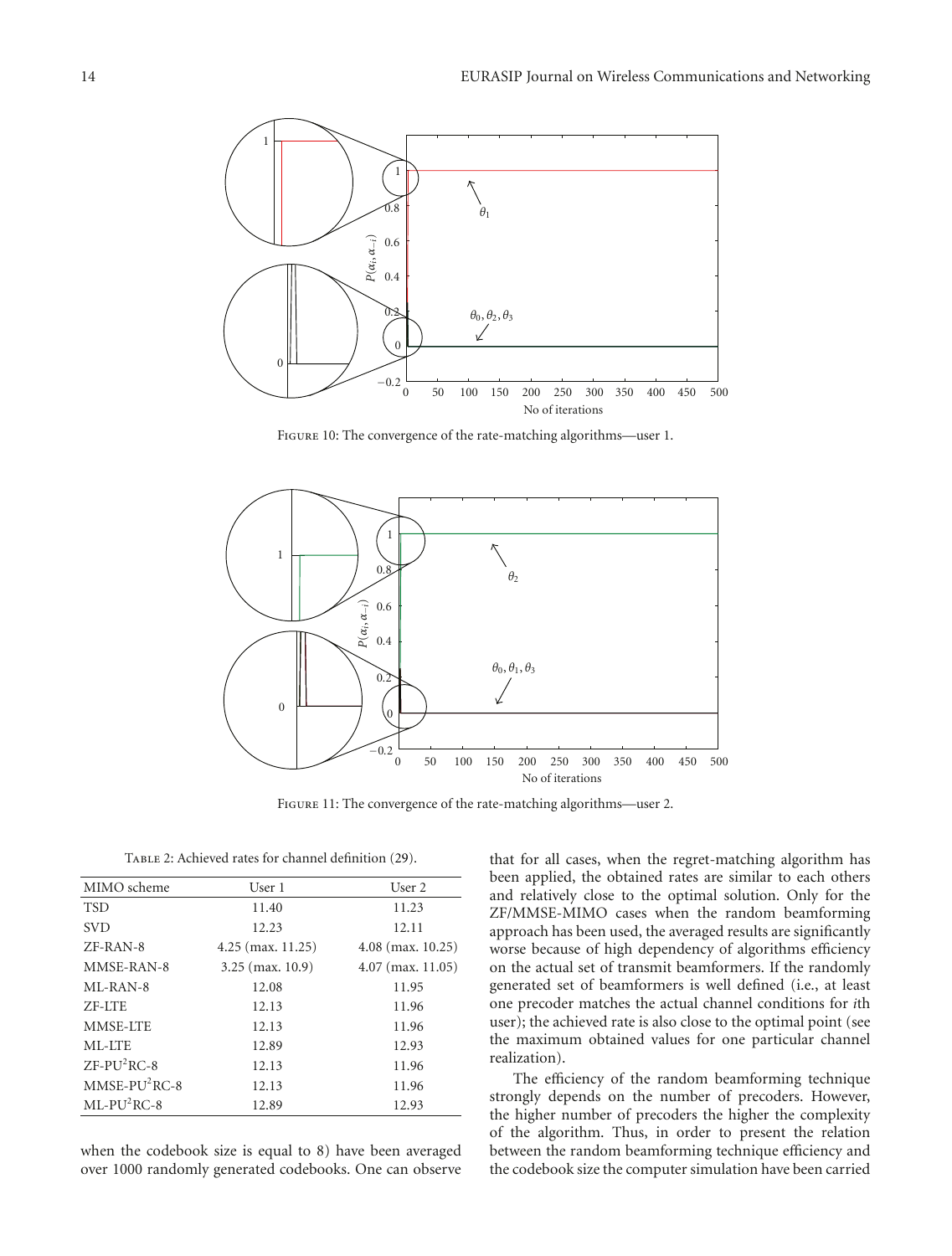

Figure 10: The convergence of the rate-matching algorithms—user 1.



Figure 11: The convergence of the rate-matching algorithms—user 2.

| TABLE 2: Achieved rates for channel definition (29). |  |  |  |
|------------------------------------------------------|--|--|--|
|------------------------------------------------------|--|--|--|

| MIMO scheme    | User 1              | User 2              |  |
|----------------|---------------------|---------------------|--|
| <b>TSD</b>     | 11.40               | 11.23               |  |
| <b>SVD</b>     | 12.23               | 12.11               |  |
| $ZF-RAN-8$     | $4.25$ (max. 11.25) | $4.08$ (max. 10.25) |  |
| MMSE-RAN-8     | $3.25$ (max. 10.9)  | $4.07$ (max. 11.05) |  |
| $MI - RAN - 8$ | 12.08               | 11.95               |  |
| ZF-ITE         | 12.13               | 11.96               |  |
| MMSE-LTE       | 12.13               | 11.96               |  |
| ML-LTE         | 12.89               | 12.93               |  |
| $ZF-PU2RC-8$   | 12.13               | 11.96               |  |
| $MMSE-PU2RC-8$ | 12.13               | 11.96               |  |
| $ML-PU2RC-8$   | 12.89               | 12.93               |  |
|                |                     |                     |  |

when the codebook size is equal to 8) have been averaged over 1000 randomly generated codebooks. One can observe that for all cases, when the regret-matching algorithm has been applied, the obtained rates are similar to each others and relatively close to the optimal solution. Only for the ZF/MMSE-MIMO cases when the random beamforming approach has been used, the averaged results are significantly worse because of high dependency of algorithms efficiency on the actual set of transmit beamformers. If the randomly generated set of beamformers is well defined (i.e., at least one precoder matches the actual channel conditions for *i*th user); the achieved rate is also close to the optimal point (see the maximum obtained values for one particular channel realization).

The efficiency of the random beamforming technique strongly depends on the number of precoders. However, the higher number of precoders the higher the complexity of the algorithm. Thus, in order to present the relation between the random beamforming technique efficiency and the codebook size the computer simulation have been carried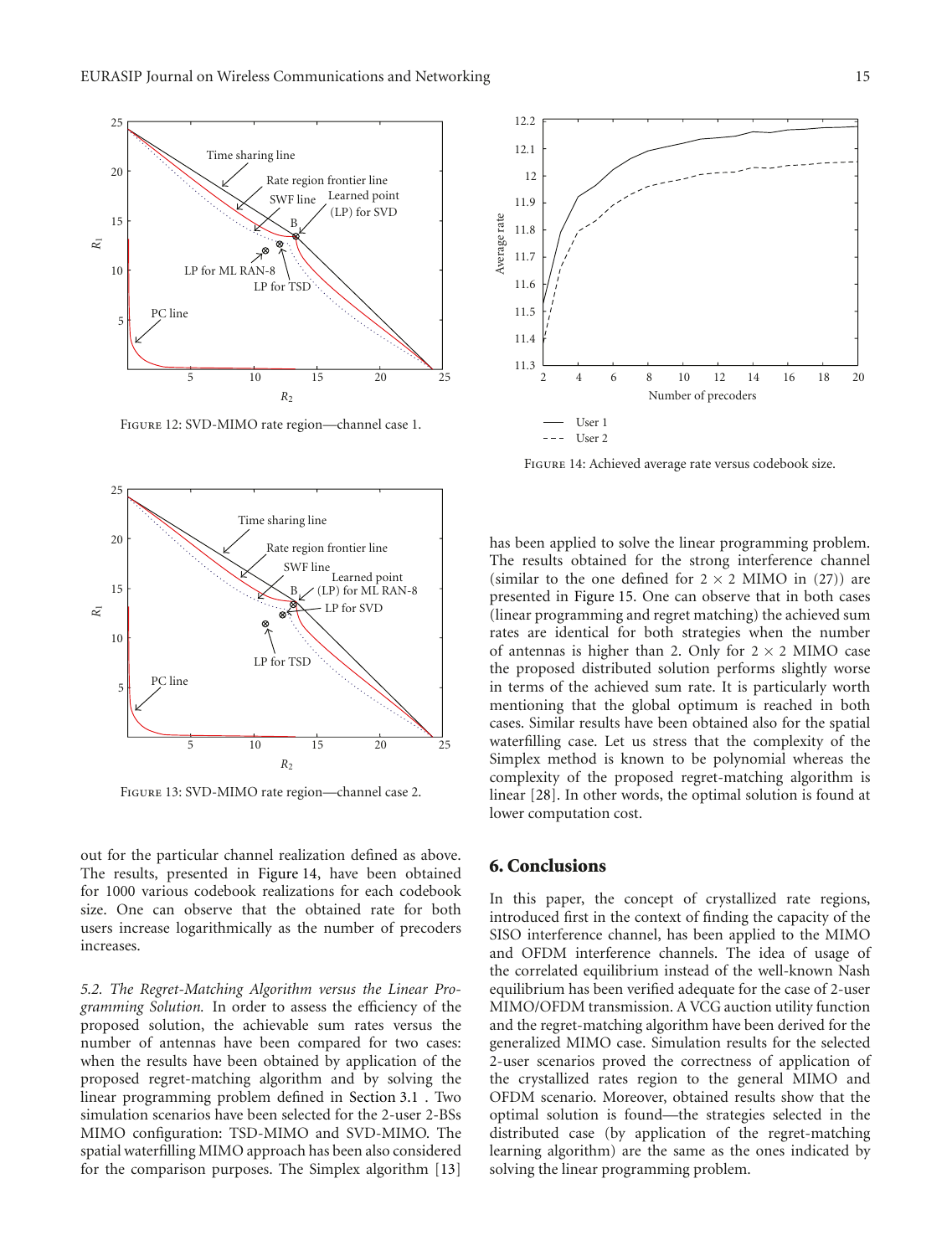

Figure 12: SVD-MIMO rate region—channel case 1.



Figure 14: Achieved average rate versus codebook size.



Figure 13: SVD-MIMO rate region—channel case 2.

out for the particular channel realization defined as above. The results, presented in Figure 14, have been obtained for 1000 various codebook realizations for each codebook size. One can observe that the obtained rate for both users increase logarithmically as the number of precoders increases.

*5.2. The Regret-Matching Algorithm versus the Linear Programming Solution.* In order to assess the efficiency of the proposed solution, the achievable sum rates versus the number of antennas have been compared for two cases: when the results have been obtained by application of the proposed regret-matching algorithm and by solving the linear programming problem defined in Section 3.1 . Two simulation scenarios have been selected for the 2-user 2-BSs MIMO configuration: TSD-MIMO and SVD-MIMO. The spatial waterfilling MIMO approach has been also considered for the comparison purposes. The Simplex algorithm [13]

has been applied to solve the linear programming problem. The results obtained for the strong interference channel (similar to the one defined for  $2 \times 2$  MIMO in (27)) are presented in Figure 15. One can observe that in both cases (linear programming and regret matching) the achieved sum rates are identical for both strategies when the number of antennas is higher than 2. Only for  $2 \times 2$  MIMO case the proposed distributed solution performs slightly worse in terms of the achieved sum rate. It is particularly worth mentioning that the global optimum is reached in both cases. Similar results have been obtained also for the spatial waterfilling case. Let us stress that the complexity of the Simplex method is known to be polynomial whereas the complexity of the proposed regret-matching algorithm is linear [28]. In other words, the optimal solution is found at lower computation cost.

#### **6. Conclusions**

In this paper, the concept of crystallized rate regions, introduced first in the context of finding the capacity of the SISO interference channel, has been applied to the MIMO and OFDM interference channels. The idea of usage of the correlated equilibrium instead of the well-known Nash equilibrium has been verified adequate for the case of 2-user MIMO/OFDM transmission. A VCG auction utility function and the regret-matching algorithm have been derived for the generalized MIMO case. Simulation results for the selected 2-user scenarios proved the correctness of application of the crystallized rates region to the general MIMO and OFDM scenario. Moreover, obtained results show that the optimal solution is found—the strategies selected in the distributed case (by application of the regret-matching learning algorithm) are the same as the ones indicated by solving the linear programming problem.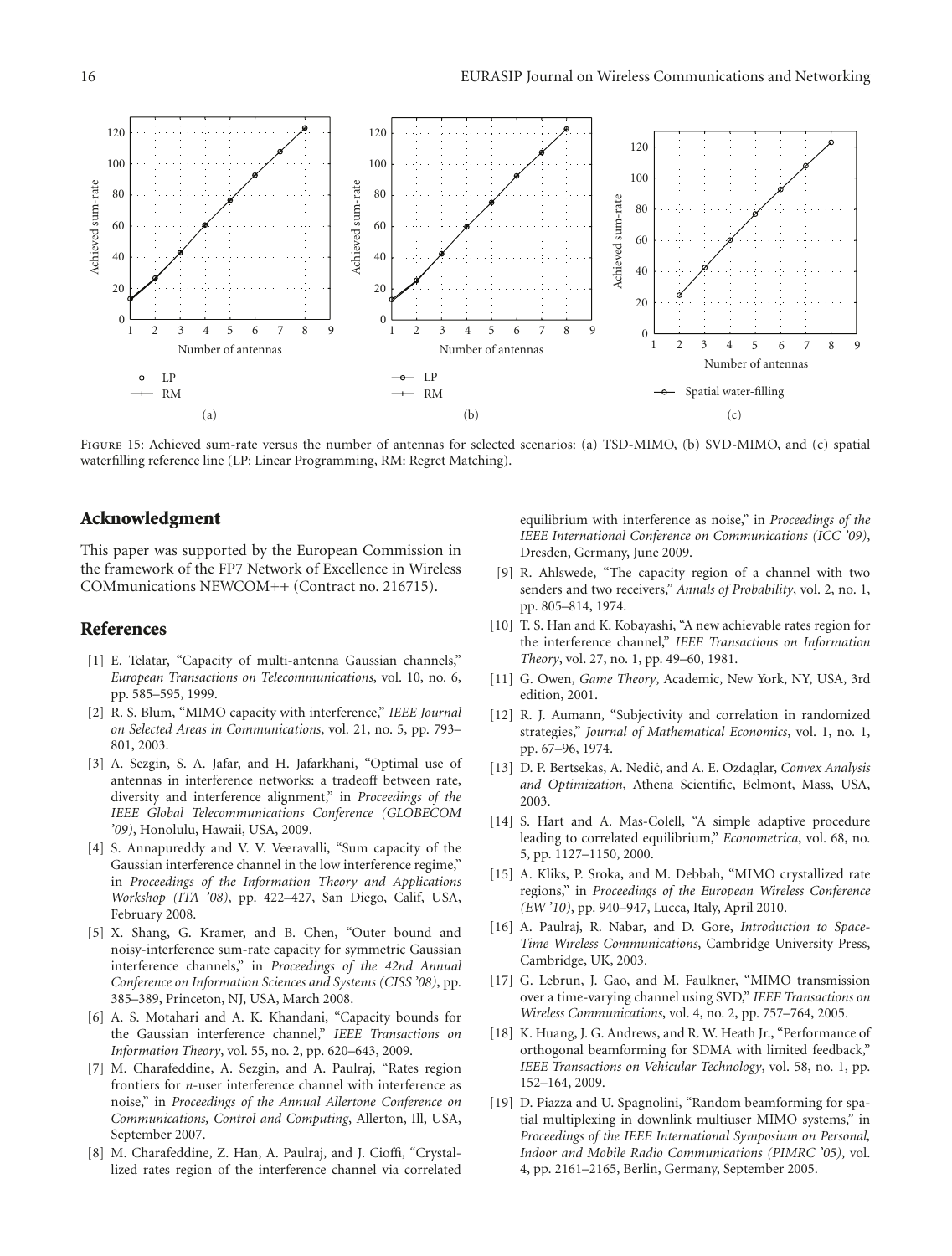

Figure 15: Achieved sum-rate versus the number of antennas for selected scenarios: (a) TSD-MIMO, (b) SVD-MIMO, and (c) spatial waterfilling reference line (LP: Linear Programming, RM: Regret Matching).

#### **Acknowledgment**

This paper was supported by the European Commission in the framework of the FP7 Network of Excellence in Wireless COMmunications NEWCOM++ (Contract no. 216715).

#### **References**

- [1] E. Telatar, "Capacity of multi-antenna Gaussian channels," *European Transactions on Telecommunications*, vol. 10, no. 6, pp. 585–595, 1999.
- [2] R. S. Blum, "MIMO capacity with interference," *IEEE Journal on Selected Areas in Communications*, vol. 21, no. 5, pp. 793– 801, 2003.
- [3] A. Sezgin, S. A. Jafar, and H. Jafarkhani, "Optimal use of antennas in interference networks: a tradeoff between rate, diversity and interference alignment," in *Proceedings of the IEEE Global Telecommunications Conference (GLOBECOM '09)*, Honolulu, Hawaii, USA, 2009.
- [4] S. Annapureddy and V. V. Veeravalli, "Sum capacity of the Gaussian interference channel in the low interference regime," in *Proceedings of the Information Theory and Applications Workshop (ITA '08)*, pp. 422–427, San Diego, Calif, USA, February 2008.
- [5] X. Shang, G. Kramer, and B. Chen, "Outer bound and noisy-interference sum-rate capacity for symmetric Gaussian interference channels," in *Proceedings of the 42nd Annual Conference on Information Sciences and Systems (CISS '08)*, pp. 385–389, Princeton, NJ, USA, March 2008.
- [6] A. S. Motahari and A. K. Khandani, "Capacity bounds for the Gaussian interference channel," *IEEE Transactions on Information Theory*, vol. 55, no. 2, pp. 620–643, 2009.
- [7] M. Charafeddine, A. Sezgin, and A. Paulraj, "Rates region frontiers for *n*-user interference channel with interference as noise," in *Proceedings of the Annual Allertone Conference on Communications, Control and Computing*, Allerton, Ill, USA, September 2007.
- [8] M. Charafeddine, Z. Han, A. Paulraj, and J. Cioffi, "Crystallized rates region of the interference channel via correlated

equilibrium with interference as noise," in *Proceedings of the IEEE International Conference on Communications (ICC '09)*, Dresden, Germany, June 2009.

- [9] R. Ahlswede, "The capacity region of a channel with two senders and two receivers," *Annals of Probability*, vol. 2, no. 1, pp. 805–814, 1974.
- [10] T. S. Han and K. Kobayashi, "A new achievable rates region for the interference channel," *IEEE Transactions on Information Theory*, vol. 27, no. 1, pp. 49–60, 1981.
- [11] G. Owen, *Game Theory*, Academic, New York, NY, USA, 3rd edition, 2001.
- [12] R. J. Aumann, "Subjectivity and correlation in randomized strategies," *Journal of Mathematical Economics*, vol. 1, no. 1, pp. 67–96, 1974.
- [13] D. P. Bertsekas, A. Nedić, and A. E. Ozdaglar, *Convex Analysis and Optimization*, Athena Scientific, Belmont, Mass, USA, 2003.
- [14] S. Hart and A. Mas-Colell, "A simple adaptive procedure leading to correlated equilibrium," *Econometrica*, vol. 68, no. 5, pp. 1127–1150, 2000.
- [15] A. Kliks, P. Sroka, and M. Debbah, "MIMO crystallized rate regions," in *Proceedings of the European Wireless Conference (EW '10)*, pp. 940–947, Lucca, Italy, April 2010.
- [16] A. Paulraj, R. Nabar, and D. Gore, *Introduction to Space-Time Wireless Communications*, Cambridge University Press, Cambridge, UK, 2003.
- [17] G. Lebrun, J. Gao, and M. Faulkner, "MIMO transmission over a time-varying channel using SVD," *IEEE Transactions on Wireless Communications*, vol. 4, no. 2, pp. 757–764, 2005.
- [18] K. Huang, J. G. Andrews, and R. W. Heath Jr., "Performance of orthogonal beamforming for SDMA with limited feedback," *IEEE Transactions on Vehicular Technology*, vol. 58, no. 1, pp. 152–164, 2009.
- [19] D. Piazza and U. Spagnolini, "Random beamforming for spatial multiplexing in downlink multiuser MIMO systems," in *Proceedings of the IEEE International Symposium on Personal, Indoor and Mobile Radio Communications (PIMRC '05)*, vol. 4, pp. 2161–2165, Berlin, Germany, September 2005.